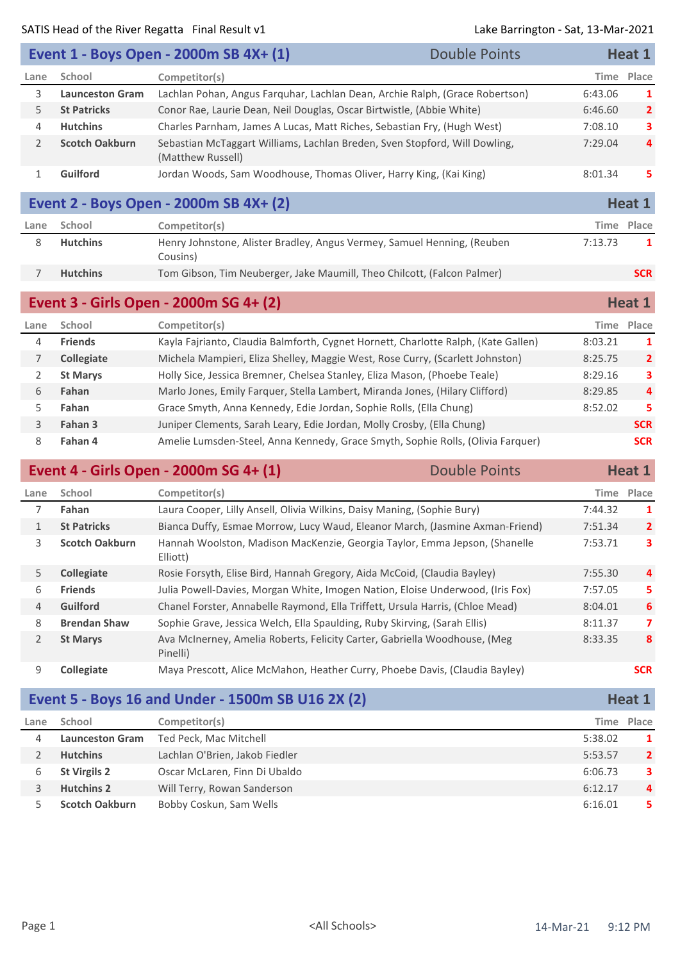|                |                        |                                                                                                 |                      | $501111770011$ $5010$ $10101$ $1000$ |                |
|----------------|------------------------|-------------------------------------------------------------------------------------------------|----------------------|--------------------------------------|----------------|
|                |                        | Event 1 - Boys Open - 2000m SB 4X+ (1)                                                          | <b>Double Points</b> |                                      | Heat 1         |
| Lane           | School                 | Competitor(s)                                                                                   |                      | <b>Time</b>                          | Place          |
| 3              | <b>Launceston Gram</b> | Lachlan Pohan, Angus Farquhar, Lachlan Dean, Archie Ralph, (Grace Robertson)                    |                      | 6:43.06                              | 1              |
| 5              | <b>St Patricks</b>     | Conor Rae, Laurie Dean, Neil Douglas, Oscar Birtwistle, (Abbie White)                           |                      | 6:46.60                              | $\overline{2}$ |
| 4              | <b>Hutchins</b>        | Charles Parnham, James A Lucas, Matt Riches, Sebastian Fry, (Hugh West)                         |                      | 7:08.10                              | 3              |
| 2              | <b>Scotch Oakburn</b>  | Sebastian McTaggart Williams, Lachlan Breden, Sven Stopford, Will Dowling,<br>(Matthew Russell) |                      | 7:29.04                              | 4              |
| $\mathbf{1}$   | Guilford               | Jordan Woods, Sam Woodhouse, Thomas Oliver, Harry King, (Kai King)                              |                      | 8:01.34                              | 5.             |
|                |                        | Event 2 - Boys Open - 2000m SB 4X+ (2)                                                          |                      |                                      | Heat 1         |
| Lane           | School                 | Competitor(s)                                                                                   |                      |                                      | Time Place     |
| 8              | <b>Hutchins</b>        | Henry Johnstone, Alister Bradley, Angus Vermey, Samuel Henning, (Reuben<br>Cousins)             |                      | 7:13.73                              | 1              |
| $\overline{7}$ | <b>Hutchins</b>        | Tom Gibson, Tim Neuberger, Jake Maumill, Theo Chilcott, (Falcon Palmer)                         |                      |                                      | <b>SCR</b>     |
|                |                        | Event 3 - Girls Open - 2000m SG 4+ (2)                                                          |                      |                                      | Heat 1         |
| Lane           | School                 | Competitor(s)                                                                                   |                      |                                      | Time Place     |
| 4              | <b>Friends</b>         | Kayla Fajrianto, Claudia Balmforth, Cygnet Hornett, Charlotte Ralph, (Kate Gallen)              |                      | 8:03.21                              | 1              |
| $\overline{7}$ | Collegiate             | Michela Mampieri, Eliza Shelley, Maggie West, Rose Curry, (Scarlett Johnston)                   |                      | 8:25.75                              | $\overline{2}$ |
| 2              | <b>St Marys</b>        | Holly Sice, Jessica Bremner, Chelsea Stanley, Eliza Mason, (Phoebe Teale)                       |                      | 8:29.16                              | 3              |
| 6              | Fahan                  | Marlo Jones, Emily Farquer, Stella Lambert, Miranda Jones, (Hilary Clifford)                    |                      | 8:29.85                              | 4              |
| 5              | Fahan                  | Grace Smyth, Anna Kennedy, Edie Jordan, Sophie Rolls, (Ella Chung)                              |                      | 8:52.02                              | 5              |
| 3              | Fahan 3                | Juniper Clements, Sarah Leary, Edie Jordan, Molly Crosby, (Ella Chung)                          |                      |                                      | <b>SCR</b>     |
| 8              | Fahan 4                | Amelie Lumsden-Steel, Anna Kennedy, Grace Smyth, Sophie Rolls, (Olivia Farquer)                 |                      |                                      | <b>SCR</b>     |
|                |                        | Event 4 - Girls Open - 2000m SG 4+ (1)                                                          | <b>Double Points</b> |                                      | Heat 1         |
| Lane           | School                 | Competitor(s)                                                                                   |                      |                                      | Time Place     |
| 7              | Fahan                  | Laura Cooper, Lilly Ansell, Olivia Wilkins, Daisy Maning, (Sophie Bury)                         |                      | 7:44.32                              | 1              |
|                |                        |                                                                                                 |                      |                                      |                |

| $1\overline{ }$ | <b>St Patricks</b>    | Bianca Duffy, Esmae Morrow, Lucy Waud, Eleanor March, (Jasmine Axman-Friend)           | 7:51.34 | $\overline{2}$ |
|-----------------|-----------------------|----------------------------------------------------------------------------------------|---------|----------------|
| 3.              | <b>Scotch Oakburn</b> | Hannah Woolston, Madison MacKenzie, Georgia Taylor, Emma Jepson, (Shanelle<br>Elliott) | 7:53.71 | 3              |
| 5.              | <b>Collegiate</b>     | Rosie Forsyth, Elise Bird, Hannah Gregory, Aida McCoid, (Claudia Bayley)               | 7:55.30 | 4              |
| 6.              | <b>Friends</b>        | Julia Powell-Davies, Morgan White, Imogen Nation, Eloise Underwood, (Iris Fox)         | 7:57.05 | 5.             |
| $\overline{4}$  | <b>Guilford</b>       | Chanel Forster, Annabelle Raymond, Ella Triffett, Ursula Harris, (Chloe Mead)          | 8:04.01 | 6              |
| 8               | <b>Brendan Shaw</b>   | Sophie Grave, Jessica Welch, Ella Spaulding, Ruby Skirving, (Sarah Ellis)              | 8:11.37 | 7              |
| 2               | <b>St Marys</b>       | Ava McInerney, Amelia Roberts, Felicity Carter, Gabriella Woodhouse, (Meg<br>Pinelli)  | 8:33.35 | 8              |
| 9               | <b>Collegiate</b>     | Maya Prescott, Alice McMahon, Heather Curry, Phoebe Davis, (Claudia Bayley)            |         | <b>SCR</b>     |

|      |                        | Event 5 - Boys 16 and Under - 1500m SB U16 2X (2) |         | Heat 1         |
|------|------------------------|---------------------------------------------------|---------|----------------|
| Lane | School                 | Competitor(s)                                     |         | Time Place     |
| 4    | <b>Launceston Gram</b> | Ted Peck, Mac Mitchell                            | 5:38.02 | 1              |
|      | <b>Hutchins</b>        | Lachlan O'Brien, Jakob Fiedler                    | 5:53.57 | $\overline{2}$ |
| 6    | <b>St Virgils 2</b>    | Oscar McLaren, Finn Di Ubaldo                     | 6:06.73 | 3              |
|      | <b>Hutchins 2</b>      | Will Terry, Rowan Sanderson                       | 6:12.17 | $\overline{a}$ |
|      | <b>Scotch Oakburn</b>  | Bobby Coskun, Sam Wells                           | 6:16.01 | 5.             |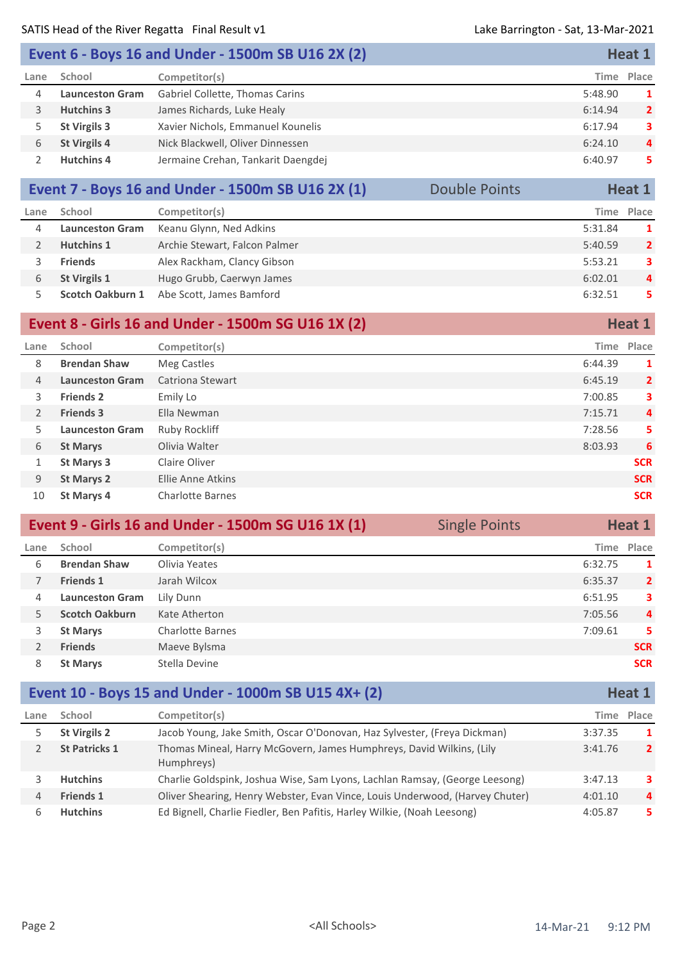| Event 6 - Boys 16 and Under - 1500m SB U16 2X (2) |                        | Heat 1                             |            |                |
|---------------------------------------------------|------------------------|------------------------------------|------------|----------------|
| Lane                                              | School                 | Competitor(s)                      | Time Place |                |
| 4                                                 | <b>Launceston Gram</b> | Gabriel Collette, Thomas Carins    | 5:48.90    | 1              |
|                                                   | <b>Hutchins 3</b>      | James Richards, Luke Healy         | 6:14.94    | $\overline{2}$ |
|                                                   | <b>St Virgils 3</b>    | Xavier Nichols, Emmanuel Kounelis  | 6:17.94    | 3              |
| 6                                                 | <b>St Virgils 4</b>    | Nick Blackwell, Oliver Dinnessen   | 6:24.10    | $\overline{4}$ |
|                                                   | <b>Hutchins 4</b>      | Jermaine Crehan, Tankarit Daengdej | 6:40.97    | 5.             |

## **Event 7 - Boys 16 and Under - 1500m SB U16 2X (1)** Double Points **Heat 1**

| Lane | School                 | Competitor(s)                 | Time    | Place          |
|------|------------------------|-------------------------------|---------|----------------|
| 4    | <b>Launceston Gram</b> | Keanu Glynn, Ned Adkins       | 5:31.84 | 1              |
|      | <b>Hutchins 1</b>      | Archie Stewart, Falcon Palmer | 5:40.59 | $\overline{2}$ |
|      | <b>Friends</b>         | Alex Rackham, Clancy Gibson   | 5:53.21 | 3              |
| 6    | <b>St Virgils 1</b>    | Hugo Grubb, Caerwyn James     | 6:02.01 | 4              |
|      | Scotch Oakburn 1       | Abe Scott, James Bamford      | 6:32.51 | 5.             |

#### **Event 8 - Girls 16 and Under - 1500m SG U16 1X (2) Heat 1 Heat 1 Lane School Competitor(s) Time Place Brendan Shaw** Meg Castles **1 1 Launceston Gram** Catriona Stewart 6:45.19 **2 Friends 2** Emily Lo 7:00.85 **3 Friends 3** Ella Newman 7:15.71 **4 Launceston Gram** Ruby Rockliff 7:28.56 **5 St Marys** Olivia Walter 8:03.93 **6 St Marys 3** Claire Oliver **SCR St Marys 2** Ellie Anne Atkins **SCR St Marys 4** Charlotte Barnes **SCR**

|      |                        | Event 9 - Girls 16 and Under - 1500m SG U16 1X (1) | <b>Single Points</b> |         | Heat 1         |
|------|------------------------|----------------------------------------------------|----------------------|---------|----------------|
| Lane | School                 | Competitor(s)                                      |                      |         | Time Place     |
| 6    | <b>Brendan Shaw</b>    | Olivia Yeates                                      |                      | 6:32.75 | 1              |
|      | <b>Friends 1</b>       | Jarah Wilcox                                       |                      | 6:35.37 | $\overline{2}$ |
| 4    | <b>Launceston Gram</b> | Lily Dunn                                          |                      | 6:51.95 | 3.             |
| 5.   | <b>Scotch Oakburn</b>  | Kate Atherton                                      |                      | 7:05.56 | 4              |
| 3    | <b>St Marys</b>        | <b>Charlotte Barnes</b>                            |                      | 7:09.61 | 5              |
|      | <b>Friends</b>         | Maeve Bylsma                                       |                      |         | <b>SCR</b>     |
| 8    | <b>St Marys</b>        | Stella Devine                                      |                      |         | <b>SCR</b>     |

|      |                      | Event 10 - Boys 15 and Under - 1000m SB U15 4X+ (2)                                |         | Heat 1         |
|------|----------------------|------------------------------------------------------------------------------------|---------|----------------|
| Lane | School               | Competitor(s)                                                                      |         | Time Place     |
|      | <b>St Virgils 2</b>  | Jacob Young, Jake Smith, Oscar O'Donovan, Haz Sylvester, (Freya Dickman)           | 3:37.35 | $\mathbf{1}$   |
|      | <b>St Patricks 1</b> | Thomas Mineal, Harry McGovern, James Humphreys, David Wilkins, (Lily<br>Humphreys) | 3:41.76 | $\overline{2}$ |
|      | <b>Hutchins</b>      | Charlie Goldspink, Joshua Wise, Sam Lyons, Lachlan Ramsay, (George Leesong)        | 3:47.13 | 3              |
| 4    | <b>Friends 1</b>     | Oliver Shearing, Henry Webster, Evan Vince, Louis Underwood, (Harvey Chuter)       | 4:01.10 | $\overline{a}$ |
| b    | <b>Hutchins</b>      | Ed Bignell, Charlie Fiedler, Ben Pafitis, Harley Wilkie, (Noah Leesong)            | 4:05.87 | 5.             |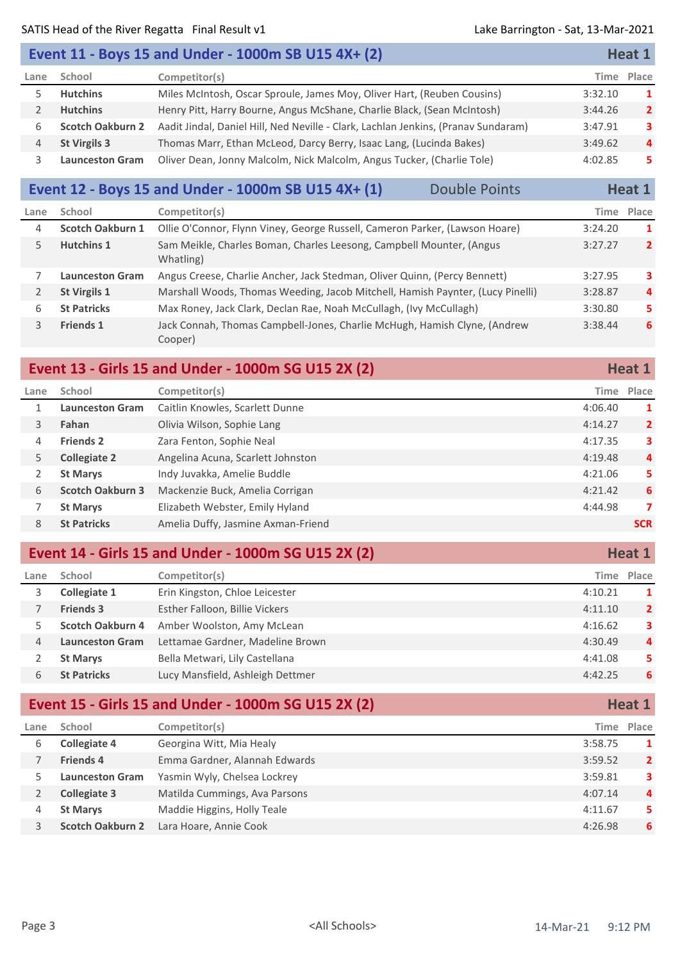#### SATIS Head of the River Regatta Final Result v1 Lake Barrington - Sat, 13-Mar-2021

|      |                         | Event 11 - Boys 15 and Under - 1000m SB U15 4X+ (2)                                |         | Heat 1         |
|------|-------------------------|------------------------------------------------------------------------------------|---------|----------------|
| Lane | School                  | Competitor(s)                                                                      |         | Time Place     |
|      | <b>Hutchins</b>         | Miles McIntosh, Oscar Sproule, James Moy, Oliver Hart, (Reuben Cousins)            | 3:32.10 | $\mathbf{1}$   |
|      | <b>Hutchins</b>         | Henry Pitt, Harry Bourne, Angus McShane, Charlie Black, (Sean McIntosh)            | 3:44.26 | $\overline{2}$ |
| 6    | <b>Scotch Oakburn 2</b> | Aadit Jindal, Daniel Hill, Ned Neville - Clark, Lachlan Jenkins, (Pranav Sundaram) | 3:47.91 | 3.             |
| 4    | <b>St Virgils 3</b>     | Thomas Marr, Ethan McLeod, Darcy Berry, Isaac Lang, (Lucinda Bakes)                | 3:49.62 | $\overline{a}$ |
|      | <b>Launceston Gram</b>  | Oliver Dean, Jonny Malcolm, Nick Malcolm, Angus Tucker, (Charlie Tole)             | 4:02.85 | 5.             |

## **Event 12 - Boys 15 and Under - 1000m SB U15 4X+ (1)** Double Points **Heat 1**

| Lane         | School                  | Competitor(s)                                                                        |         | Time Place     |
|--------------|-------------------------|--------------------------------------------------------------------------------------|---------|----------------|
| 4            | <b>Scotch Oakburn 1</b> | Ollie O'Connor, Flynn Viney, George Russell, Cameron Parker, (Lawson Hoare)          | 3:24.20 | 1              |
| $\mathsf{P}$ | <b>Hutchins 1</b>       | Sam Meikle, Charles Boman, Charles Leesong, Campbell Mounter, (Angus<br>Whatling)    | 3:27.27 | $\overline{2}$ |
|              | <b>Launceston Gram</b>  | Angus Creese, Charlie Ancher, Jack Stedman, Oliver Quinn, (Percy Bennett)            | 3:27.95 | 3              |
| 2            | <b>St Virgils 1</b>     | Marshall Woods, Thomas Weeding, Jacob Mitchell, Hamish Paynter, (Lucy Pinelli)       | 3:28.87 | 4              |
| 6            | <b>St Patricks</b>      | Max Roney, Jack Clark, Declan Rae, Noah McCullagh, (Ivy McCullagh)                   | 3:30.80 | 5.             |
| 3            | <b>Friends 1</b>        | Jack Connah, Thomas Campbell-Jones, Charlie McHugh, Hamish Clyne, (Andrew<br>Cooper) | 3:38.44 | 6              |

## **Event 13 - Girls 15 and Under - 1000m SG U15 2X (2) Heat 1 Heat 1**

| Lane | School                  | Competitor(s)                      |         | Time Place     |
|------|-------------------------|------------------------------------|---------|----------------|
|      | <b>Launceston Gram</b>  | Caitlin Knowles, Scarlett Dunne    | 4:06.40 | -1             |
| 3    | Fahan                   | Olivia Wilson, Sophie Lang         | 4:14.27 | $\overline{2}$ |
| 4    | <b>Friends 2</b>        | Zara Fenton, Sophie Neal           | 4:17.35 | 3              |
| 5.   | <b>Collegiate 2</b>     | Angelina Acuna, Scarlett Johnston  | 4:19.48 | 4              |
|      | <b>St Marys</b>         | Indy Juvakka, Amelie Buddle        | 4:21.06 | 5              |
| 6    | <b>Scotch Oakburn 3</b> | Mackenzie Buck, Amelia Corrigan    | 4:21.42 | 6              |
|      | <b>St Marys</b>         | Elizabeth Webster, Emily Hyland    | 4:44.98 | 7              |
| 8    | <b>St Patricks</b>      | Amelia Duffy, Jasmine Axman-Friend |         | <b>SCR</b>     |

#### **Event 14 - Girls 15 and Under - 1000m SG U15 2X (2) Heat 1 Heat 1**

| Lane | School                 | Competitor(s)                    | Time Place |                |
|------|------------------------|----------------------------------|------------|----------------|
|      | Collegiate 1           | Erin Kingston, Chloe Leicester   | 4:10.21    | 1              |
|      | <b>Friends 3</b>       | Esther Falloon, Billie Vickers   | 4:11.10    | $\overline{2}$ |
|      | Scotch Oakburn 4       | Amber Woolston, Amy McLean       | 4:16.62    | 3              |
| 4    | <b>Launceston Gram</b> | Lettamae Gardner, Madeline Brown | 4:30.49    | $\overline{4}$ |
|      | <b>St Marys</b>        | Bella Metwari, Lily Castellana   | 4:41.08    | 5              |
| 6    | <b>St Patricks</b>     | Lucy Mansfield, Ashleigh Dettmer | 4:42.25    | 6              |

# **Event 15 - Girls 15 and Under - 1000m SG U15 2X (2) Heat 1**

| Lane | School                  | Competitor(s)                 |         | Time Place     |
|------|-------------------------|-------------------------------|---------|----------------|
|      | <b>Collegiate 4</b>     | Georgina Witt, Mia Healy      | 3:58.75 | 1              |
|      | <b>Friends 4</b>        | Emma Gardner, Alannah Edwards | 3:59.52 | $\overline{2}$ |
|      | <b>Launceston Gram</b>  | Yasmin Wyly, Chelsea Lockrey  | 3:59.81 | 3.             |
|      | Collegiate 3            | Matilda Cummings, Ava Parsons | 4:07.14 | 4              |
| 4    | <b>St Marys</b>         | Maddie Higgins, Holly Teale   | 4:11.67 | 5.             |
|      | <b>Scotch Oakburn 2</b> | Lara Hoare, Annie Cook        | 4:26.98 | 6              |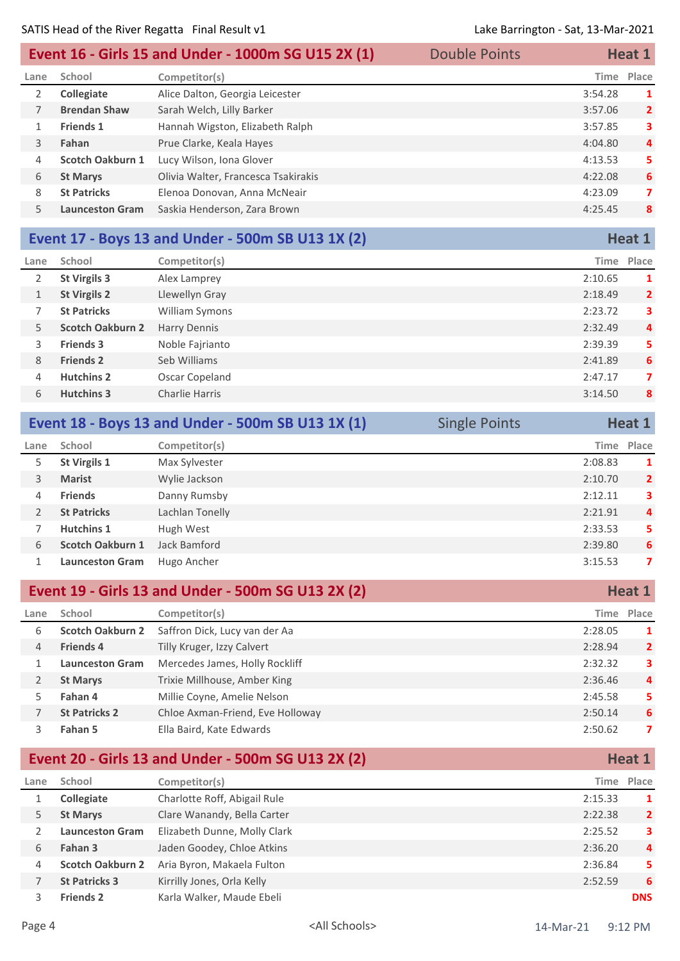| Event 16 - Girls 15 and Under - 1000m SG U15 2X (1) |                        | <b>Double Points</b>                |  | Heat 1      |                         |
|-----------------------------------------------------|------------------------|-------------------------------------|--|-------------|-------------------------|
| Lane                                                | School                 | Competitor(s)                       |  | <b>Time</b> | Place                   |
| 2                                                   | Collegiate             | Alice Dalton, Georgia Leicester     |  | 3:54.28     | 1                       |
|                                                     | <b>Brendan Shaw</b>    | Sarah Welch, Lilly Barker           |  | 3:57.06     | $\overline{\mathbf{2}}$ |
|                                                     | <b>Friends 1</b>       | Hannah Wigston, Elizabeth Ralph     |  | 3:57.85     | 3                       |
| 3                                                   | Fahan                  | Prue Clarke, Keala Hayes            |  | 4:04.80     | 4                       |
| 4                                                   | Scotch Oakburn 1       | Lucy Wilson, Iona Glover            |  | 4:13.53     | 5                       |
| 6                                                   | <b>St Marys</b>        | Olivia Walter, Francesca Tsakirakis |  | 4:22.08     | 6                       |
| 8                                                   | <b>St Patricks</b>     | Elenoa Donovan, Anna McNeair        |  | 4:23.09     | 7                       |
| 5.                                                  | <b>Launceston Gram</b> | Saskia Henderson, Zara Brown        |  | 4:25.45     | 8                       |

#### **Event 17 - Boys 13 and Under - 500m SB U13 1X (2) Heat 1 Heat 1**

| Lane | School                  | Competitor(s)       |         | Time Place     |
|------|-------------------------|---------------------|---------|----------------|
| 2    | St Virgils 3            | Alex Lamprey        | 2:10.65 | 1              |
| 1    | <b>St Virgils 2</b>     | Llewellyn Gray      | 2:18.49 | $\overline{2}$ |
|      | <b>St Patricks</b>      | William Symons      | 2:23.72 | 3              |
| 5.   | <b>Scotch Oakburn 2</b> | <b>Harry Dennis</b> | 2:32.49 | 4              |
| 3.   | <b>Friends 3</b>        | Noble Fajrianto     | 2:39.39 | 5              |
| 8    | <b>Friends 2</b>        | Seb Williams        | 2:41.89 | 6              |
| 4    | <b>Hutchins 2</b>       | Oscar Copeland      | 2:47.17 | 7              |
| 6    | <b>Hutchins 3</b>       | Charlie Harris      | 3:14.50 | 8              |
|      |                         |                     |         |                |

|      |                         | Event 18 - Boys 13 and Under - 500m SB U13 1X (1) | <b>Single Points</b> |            | Heat 1         |
|------|-------------------------|---------------------------------------------------|----------------------|------------|----------------|
| Lane | School                  | Competitor(s)                                     |                      | Time Place |                |
| 5.   | <b>St Virgils 1</b>     | Max Sylvester                                     |                      | 2:08.83    | 1              |
| 3    | <b>Marist</b>           | Wylie Jackson                                     |                      | 2:10.70    | $\overline{2}$ |
| 4    | <b>Friends</b>          | Danny Rumsby                                      |                      | 2:12.11    | 3              |
|      | <b>St Patricks</b>      | Lachlan Tonelly                                   |                      | 2:21.91    | 4              |
|      | <b>Hutchins 1</b>       | Hugh West                                         |                      | 2:33.53    | 5              |
| 6    | <b>Scotch Oakburn 1</b> | Jack Bamford                                      |                      | 2:39.80    | 6              |
|      | <b>Launceston Gram</b>  | Hugo Ancher                                       |                      | 3:15.53    | 7              |
|      |                         |                                                   |                      |            |                |

|      | Event 19 - Girls 13 and Under - 500m SG U13 2X (2) |                                  |         | Heat 1         |
|------|----------------------------------------------------|----------------------------------|---------|----------------|
| Lane | School                                             | Competitor(s)                    | Time    | Place          |
| 6    | <b>Scotch Oakburn 2</b>                            | Saffron Dick, Lucy van der Aa    | 2:28.05 | 1              |
| 4    | <b>Friends 4</b>                                   | Tilly Kruger, Izzy Calvert       | 2:28.94 | $\overline{2}$ |
|      | <b>Launceston Gram</b>                             | Mercedes James, Holly Rockliff   | 2:32.32 | 3              |
| 2    | <b>St Marys</b>                                    | Trixie Millhouse, Amber King     | 2:36.46 | 4              |
| 5.   | Fahan 4                                            | Millie Coyne, Amelie Nelson      | 2:45.58 | 5.             |
|      | <b>St Patricks 2</b>                               | Chloe Axman-Friend, Eve Holloway | 2:50.14 | 6              |
|      | Fahan 5                                            | Ella Baird, Kate Edwards         | 2:50.62 | 7              |

#### **Event 20 - Girls 13 and Under - 500m SG U13 2X (2) Heat 1 Heat 1 Lane School Competitor(s) Time Place Collegiate** Charlotte Roff, Abigail Rule 2:15.33 **1 St Marys** Clare Wanandy, Bella Carter 2:22.38 **2** 2:22.38 **2 Launceston Gram** Elizabeth Dunne, Molly Clark 2:25.52 **3 Fahan 3** Jaden Goodey, Chloe Atkins 2:36.20 **4 Scotch Oakburn 2** Aria Byron, Makaela Fulton 2:36.84 **5 St Patricks 3** Kirrilly Jones, Orla Kelly 2:52.59 **6 Friends 2** Karla Walker, Maude Ebeli **DNS**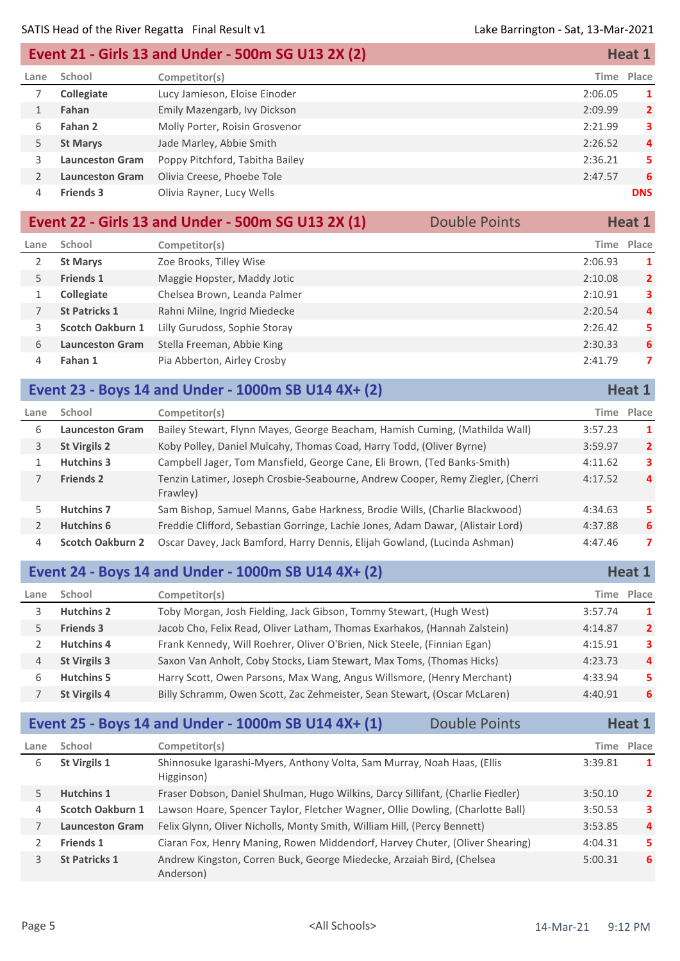#### **Event 21 - Girls 13 and Under - 500m SG U13 2X (2) Heat 1 Heat 1**

| Lane | School                 | Competitor(s)                   |         | Time Place     |
|------|------------------------|---------------------------------|---------|----------------|
|      | <b>Collegiate</b>      | Lucy Jamieson, Eloise Einoder   | 2:06.05 |                |
|      | Fahan                  | Emily Mazengarb, Ivy Dickson    | 2:09.99 | $\overline{2}$ |
| 6    | Fahan 2                | Molly Porter, Roisin Grosvenor  | 2:21.99 | 3              |
| 5.   | <b>St Marys</b>        | Jade Marley, Abbie Smith        | 2:26.52 | 4              |
|      | <b>Launceston Gram</b> | Poppy Pitchford, Tabitha Bailey | 2:36.21 | 5.             |
|      | <b>Launceston Gram</b> | Olivia Creese, Phoebe Tole      | 2:47.57 | 6              |
| 4    | <b>Friends 3</b>       | Olivia Rayner, Lucy Wells       |         | <b>DNS</b>     |
|      |                        |                                 |         |                |

|      | Event 22 - Girls 13 and Under - 500m SG U13 2X (1)<br><b>Double Points</b> |                               |  |         | Heat 1         |
|------|----------------------------------------------------------------------------|-------------------------------|--|---------|----------------|
| Lane | School                                                                     | Competitor(s)                 |  |         | Time Place     |
|      | <b>St Marys</b>                                                            | Zoe Brooks, Tilley Wise       |  | 2:06.93 | 1              |
| 5.   | <b>Friends 1</b>                                                           | Maggie Hopster, Maddy Jotic   |  | 2:10.08 | $\overline{2}$ |
|      | <b>Collegiate</b>                                                          | Chelsea Brown, Leanda Palmer  |  | 2:10.91 | 3              |
|      | <b>St Patricks 1</b>                                                       | Rahni Milne, Ingrid Miedecke  |  | 2:20.54 | $\overline{4}$ |
| 3    | <b>Scotch Oakburn 1</b>                                                    | Lilly Gurudoss, Sophie Storay |  | 2:26.42 | 5.             |
| 6    | <b>Launceston Gram</b>                                                     | Stella Freeman, Abbie King    |  | 2:30.33 | 6              |
| 4    | Fahan 1                                                                    | Pia Abberton, Airley Crosby   |  | 2:41.79 | 7              |

|                | Event 23 - Boys 14 and Under - 1000m SB U14 4X+ (2) |                                                                                            | Heat 1     |                |
|----------------|-----------------------------------------------------|--------------------------------------------------------------------------------------------|------------|----------------|
| Lane           | School                                              | Competitor(s)                                                                              | Time Place |                |
| 6              | <b>Launceston Gram</b>                              | Bailey Stewart, Flynn Mayes, George Beacham, Hamish Cuming, (Mathilda Wall)                | 3:57.23    | 1              |
| 3              | <b>St Virgils 2</b>                                 | Koby Polley, Daniel Mulcahy, Thomas Coad, Harry Todd, (Oliver Byrne)                       | 3:59.97    | $\overline{2}$ |
|                | <b>Hutchins 3</b>                                   | Campbell Jager, Tom Mansfield, George Cane, Eli Brown, (Ted Banks-Smith)                   | 4:11.62    | 3              |
|                | <b>Friends 2</b>                                    | Tenzin Latimer, Joseph Crosbie-Seabourne, Andrew Cooper, Remy Ziegler, (Cherri<br>Frawley) | 4:17.52    | $\overline{4}$ |
| 5.             | <b>Hutchins 7</b>                                   | Sam Bishop, Samuel Manns, Gabe Harkness, Brodie Wills, (Charlie Blackwood)                 | 4:34.63    | 5              |
| $\overline{2}$ | Hutchins 6                                          | Freddie Clifford, Sebastian Gorringe, Lachie Jones, Adam Dawar, (Alistair Lord)            | 4:37.88    | 6              |
| 4              | <b>Scotch Oakburn 2</b>                             | Oscar Davey, Jack Bamford, Harry Dennis, Elijah Gowland, (Lucinda Ashman)                  | 4:47.46    | 7              |
|                |                                                     |                                                                                            |            |                |

### **Event 24 - Boys 14 and Under - 1000m SB U14 4X+ (2) Heat 1 Heat 1**

| Lane | School              | Competitor(s)                                                             |         | Time Place     |
|------|---------------------|---------------------------------------------------------------------------|---------|----------------|
|      | <b>Hutchins 2</b>   | Toby Morgan, Josh Fielding, Jack Gibson, Tommy Stewart, (Hugh West)       | 3:57.74 | 1              |
|      | <b>Friends 3</b>    | Jacob Cho, Felix Read, Oliver Latham, Thomas Exarhakos, (Hannah Zalstein) | 4:14.87 | $\overline{2}$ |
|      | <b>Hutchins 4</b>   | Frank Kennedy, Will Roehrer, Oliver O'Brien, Nick Steele, (Finnian Egan)  | 4:15.91 | 3              |
| 4    | <b>St Virgils 3</b> | Saxon Van Anholt, Coby Stocks, Liam Stewart, Max Toms, (Thomas Hicks)     | 4:23.73 | $\overline{a}$ |
|      | <b>Hutchins 5</b>   | Harry Scott, Owen Parsons, Max Wang, Angus Willsmore, (Henry Merchant)    | 4:33.94 | 5.             |
|      | <b>St Virgils 4</b> | Billy Schramm, Owen Scott, Zac Zehmeister, Sean Stewart, (Oscar McLaren)  | 4:40.91 | 6              |

### **Event 25 - Boys 14 and Under - 1000m SB U14 4X+ (1)** Double Points **Heat 1**

| Lane | School                  | Competitor(s)                                                                         |         | Time Place     |
|------|-------------------------|---------------------------------------------------------------------------------------|---------|----------------|
| 6    | <b>St Virgils 1</b>     | Shinnosuke Igarashi-Myers, Anthony Volta, Sam Murray, Noah Haas, (Ellis<br>Higginson) | 3:39.81 | 1              |
| 5.   | <b>Hutchins 1</b>       | Fraser Dobson, Daniel Shulman, Hugo Wilkins, Darcy Sillifant, (Charlie Fiedler)       | 3:50.10 | $\overline{2}$ |
| 4    | <b>Scotch Oakburn 1</b> | Lawson Hoare, Spencer Taylor, Fletcher Wagner, Ollie Dowling, (Charlotte Ball)        | 3:50.53 | 3              |
|      | <b>Launceston Gram</b>  | Felix Glynn, Oliver Nicholls, Monty Smith, William Hill, (Percy Bennett)              | 3:53.85 | 4              |
|      | <b>Friends 1</b>        | Ciaran Fox, Henry Maning, Rowen Middendorf, Harvey Chuter, (Oliver Shearing)          | 4:04.31 | 5.             |
|      | <b>St Patricks 1</b>    | Andrew Kingston, Corren Buck, George Miedecke, Arzaiah Bird, (Chelsea<br>Anderson)    | 5:00.31 | 6              |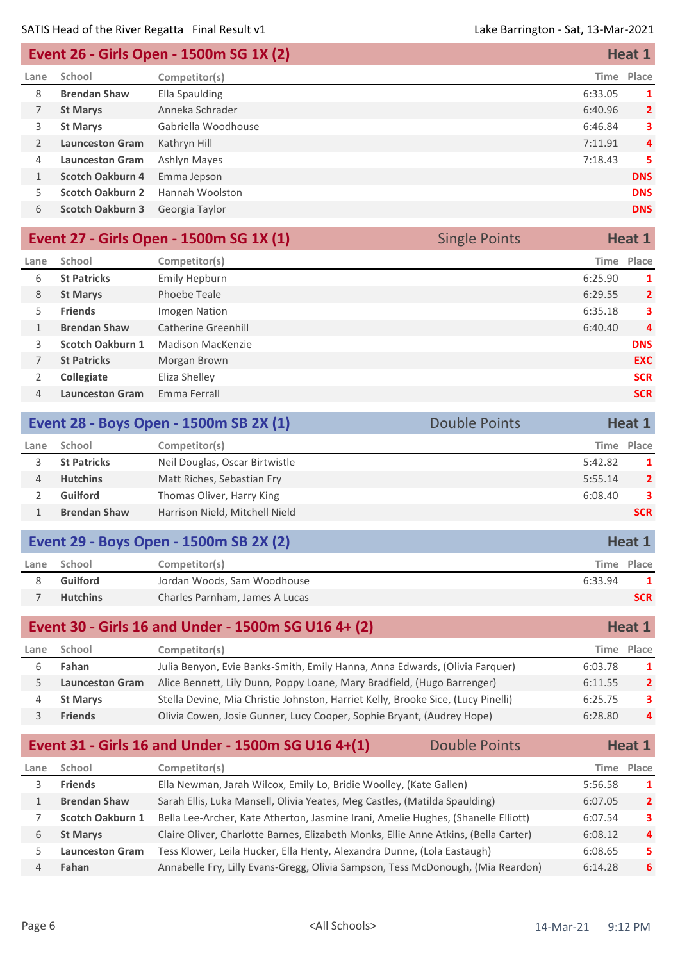| Event 26 - Girls Open - 1500m SG 1X (2) |                         |                     | Heat 1  |                |
|-----------------------------------------|-------------------------|---------------------|---------|----------------|
| Lane                                    | School                  | Competitor(s)       | Time    | Place          |
| 8                                       | <b>Brendan Shaw</b>     | Ella Spaulding      | 6:33.05 | 1              |
| 7                                       | <b>St Marys</b>         | Anneka Schrader     | 6:40.96 | $\overline{2}$ |
| 3                                       | <b>St Marys</b>         | Gabriella Woodhouse | 6:46.84 | 3              |
| 2                                       | <b>Launceston Gram</b>  | Kathryn Hill        | 7:11.91 | $\overline{4}$ |
| 4                                       | <b>Launceston Gram</b>  | Ashlyn Mayes        | 7:18.43 | 5              |
| 1                                       | <b>Scotch Oakburn 4</b> | Emma Jepson         |         | <b>DNS</b>     |
| 5.                                      | <b>Scotch Oakburn 2</b> | Hannah Woolston     |         | <b>DNS</b>     |
| 6                                       | <b>Scotch Oakburn 3</b> | Georgia Taylor      |         | <b>DNS</b>     |
|                                         |                         |                     |         |                |

| Event 27 - Girls Open - 1500m SG 1X (1) |                         |                     | <b>Single Points</b> | Heat 1         |
|-----------------------------------------|-------------------------|---------------------|----------------------|----------------|
| Lane                                    | School                  | Competitor(s)       | Time                 | Place          |
| 6                                       | <b>St Patricks</b>      | Emily Hepburn       | 6:25.90              | 1              |
| 8                                       | <b>St Marys</b>         | Phoebe Teale        | 6:29.55              | $\overline{2}$ |
| 5                                       | <b>Friends</b>          | Imogen Nation       | 6:35.18              | 3              |
|                                         | <b>Brendan Shaw</b>     | Catherine Greenhill | 6:40.40              | $\overline{4}$ |
| 3.                                      | <b>Scotch Oakburn 1</b> | Madison MacKenzie   |                      | <b>DNS</b>     |
| 7                                       | <b>St Patricks</b>      | Morgan Brown        |                      | <b>EXC</b>     |
|                                         | Collegiate              | Eliza Shelley       |                      | <b>SCR</b>     |
| 4                                       | <b>Launceston Gram</b>  | Emma Ferrall        |                      | <b>SCR</b>     |
|                                         |                         |                     |                      |                |

| Event 28 - Boys Open - 1500m SB 2X (1)<br>Double Points |                     |                                |            | Heat 1         |
|---------------------------------------------------------|---------------------|--------------------------------|------------|----------------|
| Lane                                                    | School              | Competitor(s)                  | Time Place |                |
|                                                         | <b>St Patricks</b>  | Neil Douglas, Oscar Birtwistle | 5:42.82    | 1              |
| 4                                                       | <b>Hutchins</b>     | Matt Riches, Sebastian Fry     | 5:55.14    | $\overline{2}$ |
|                                                         | <b>Guilford</b>     | Thomas Oliver, Harry King      | 6:08.40    | 3              |
|                                                         | <b>Brendan Shaw</b> | Harrison Nield, Mitchell Nield |            | <b>SCR</b>     |
|                                                         |                     |                                |            |                |

|      |                 | <b>Event 29 - Boys Open - 1500m SB 2X (2)</b> |            |  |
|------|-----------------|-----------------------------------------------|------------|--|
| Lane | School          | Competitor(s)                                 | Time Place |  |
|      | Guilford        | Jordan Woods, Sam Woodhouse                   | 6:33.94    |  |
|      | <b>Hutchins</b> | Charles Parnham, James A Lucas                | <b>SCR</b> |  |

|      |                        | Event 30 - Girls 16 and Under - 1500m SG U16 4+ (2)                              |         | Heat 1         |
|------|------------------------|----------------------------------------------------------------------------------|---------|----------------|
| Lane | School                 | Competitor(s)                                                                    |         | Time Place     |
|      | Fahan                  | Julia Benyon, Evie Banks-Smith, Emily Hanna, Anna Edwards, (Olivia Farquer)      | 6:03.78 | 1              |
|      | <b>Launceston Gram</b> | Alice Bennett, Lily Dunn, Poppy Loane, Mary Bradfield, (Hugo Barrenger)          | 6:11.55 | $\overline{2}$ |
|      | <b>St Marys</b>        | Stella Devine, Mia Christie Johnston, Harriet Kelly, Brooke Sice, (Lucy Pinelli) | 6:25.75 | 3              |
|      | <b>Friends</b>         | Olivia Cowen, Josie Gunner, Lucy Cooper, Sophie Bryant, (Audrey Hope)            | 6:28.80 | 4              |

## **Event 31 - Girls 16 and Under - 1500m SG U16 4+(1)** Double Points **Heat 1**

| Lane | School                  | Competitor(s)                                                                       |         | Time Place     |
|------|-------------------------|-------------------------------------------------------------------------------------|---------|----------------|
|      | <b>Friends</b>          | Ella Newman, Jarah Wilcox, Emily Lo, Bridie Woolley, (Kate Gallen)                  | 5:56.58 | 1              |
|      | <b>Brendan Shaw</b>     | Sarah Ellis, Luka Mansell, Olivia Yeates, Meg Castles, (Matilda Spaulding)          | 6:07.05 | $\overline{2}$ |
|      | <b>Scotch Oakburn 1</b> | Bella Lee-Archer, Kate Atherton, Jasmine Irani, Amelie Hughes, (Shanelle Elliott)   | 6:07.54 | 3              |
|      | <b>St Marys</b>         | Claire Oliver, Charlotte Barnes, Elizabeth Monks, Ellie Anne Atkins, (Bella Carter) | 6:08.12 | $\overline{a}$ |
|      | <b>Launceston Gram</b>  | Tess Klower, Leila Hucker, Ella Henty, Alexandra Dunne, (Lola Eastaugh)             | 6:08.65 | 5.             |
|      | Fahan                   | Annabelle Fry, Lilly Evans-Gregg, Olivia Sampson, Tess McDonough, (Mia Reardon)     | 6:14.28 | 6              |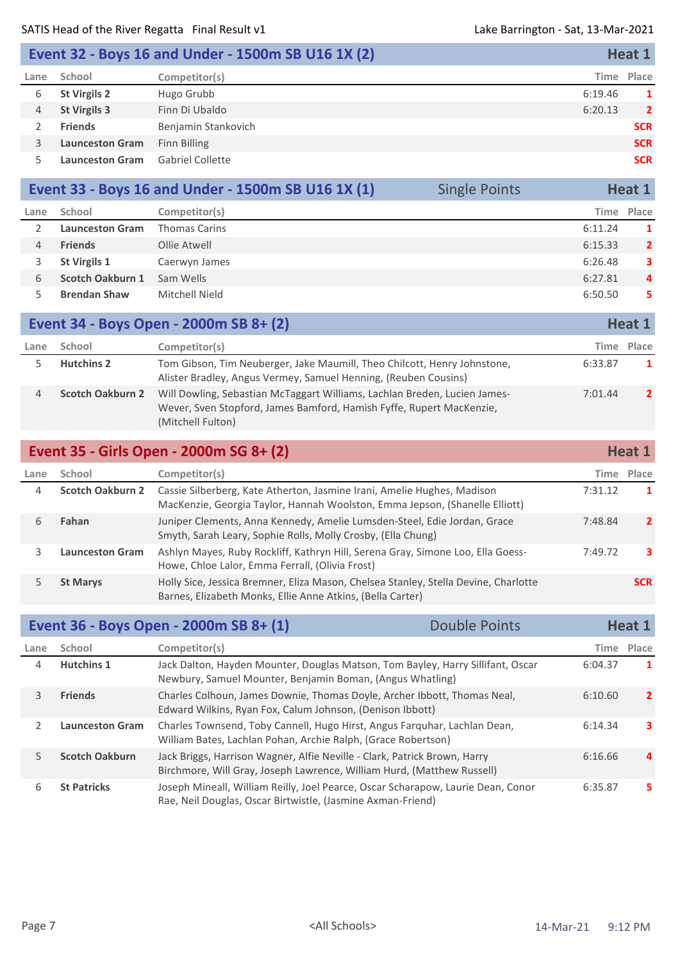|      |                        | Event 32 - Boys 16 and Under - 1500m SB U16 1X (2) |            | Heat 1         |
|------|------------------------|----------------------------------------------------|------------|----------------|
| Lane | School                 | Competitor(s)                                      | Time Place |                |
| 6    | <b>St Virgils 2</b>    | Hugo Grubb                                         | 6:19.46    | 1              |
| 4    | <b>St Virgils 3</b>    | Finn Di Ubaldo                                     | 6:20.13    | $\overline{2}$ |
|      | <b>Friends</b>         | Benjamin Stankovich                                |            | <b>SCR</b>     |
| 3.   | <b>Launceston Gram</b> | Finn Billing                                       |            | <b>SCR</b>     |
|      | <b>Launceston Gram</b> | <b>Gabriel Collette</b>                            |            | <b>SCR</b>     |

|      |                        |                      | Event 33 - Boys 16 and Under - 1500m SB U16 1X (1) | <b>Single Points</b> |         | Heat 1         |
|------|------------------------|----------------------|----------------------------------------------------|----------------------|---------|----------------|
| Lane | School                 | Competitor(s)        |                                                    |                      |         | Time Place     |
|      | <b>Launceston Gram</b> | <b>Thomas Carins</b> |                                                    |                      | 6:11.24 |                |
|      | <b>Friends</b>         | Ollie Atwell         |                                                    |                      | 6:15.33 | $\overline{2}$ |
|      | <b>St Virgils 1</b>    | Caerwyn James        |                                                    |                      | 6:26.48 | 3              |
| 6    | Scotch Oakburn 1       | Sam Wells            |                                                    |                      | 6:27.81 | $\overline{a}$ |
|      | <b>Brendan Shaw</b>    | Mitchell Nield       |                                                    |                      | 6:50.50 | 5.             |

|      |                         | Event 34 - Boys Open - 2000m SB 8+ (2)                                                                                                                                 |         | Heat 1       |
|------|-------------------------|------------------------------------------------------------------------------------------------------------------------------------------------------------------------|---------|--------------|
| Lane | School                  | Competitor(s)                                                                                                                                                          | Time    | Place        |
|      | <b>Hutchins 2</b>       | Tom Gibson, Tim Neuberger, Jake Maumill, Theo Chilcott, Henry Johnstone,<br>Alister Bradley, Angus Vermey, Samuel Henning, (Reuben Cousins)                            | 6:33.87 |              |
|      | <b>Scotch Oakburn 2</b> | Will Dowling, Sebastian McTaggart Williams, Lachlan Breden, Lucien James-<br>Wever, Sven Stopford, James Bamford, Hamish Fyffe, Rupert MacKenzie,<br>(Mitchell Fulton) | 7:01.44 | $\mathbf{2}$ |

## **Event 35 - Girls Open - 2000m SG 8+ (2) Heat 1 Heat 1**

| Lane | School                  | Competitor(s)                                                                                                                                          |         | Time Place |
|------|-------------------------|--------------------------------------------------------------------------------------------------------------------------------------------------------|---------|------------|
| 4    | <b>Scotch Oakburn 2</b> | Cassie Silberberg, Kate Atherton, Jasmine Irani, Amelie Hughes, Madison<br>MacKenzie, Georgia Taylor, Hannah Woolston, Emma Jepson, (Shanelle Elliott) | 7:31.12 | 1          |
| h    | Fahan                   | Juniper Clements, Anna Kennedy, Amelie Lumsden-Steel, Edie Jordan, Grace<br>Smyth, Sarah Leary, Sophie Rolls, Molly Crosby, (Ella Chung)               | 7:48.84 | 2          |
|      | <b>Launceston Gram</b>  | Ashlyn Mayes, Ruby Rockliff, Kathryn Hill, Serena Gray, Simone Loo, Ella Goess-<br>Howe, Chloe Lalor, Emma Ferrall, (Olivia Frost)                     | 7:49.72 | з.         |
|      | <b>St Marys</b>         | Holly Sice, Jessica Bremner, Eliza Mason, Chelsea Stanley, Stella Devine, Charlotte<br>Barnes, Elizabeth Monks, Ellie Anne Atkins, (Bella Carter)      |         | <b>SCR</b> |

|               |                        | Event 36 - Boys Open - 2000m SB 8+ (1)                                                                                                              | Double Points |         | Heat 1       |
|---------------|------------------------|-----------------------------------------------------------------------------------------------------------------------------------------------------|---------------|---------|--------------|
| Lane          | School                 | Competitor(s)                                                                                                                                       |               |         | Time Place   |
| 4             | <b>Hutchins 1</b>      | Jack Dalton, Hayden Mounter, Douglas Matson, Tom Bayley, Harry Sillifant, Oscar<br>Newbury, Samuel Mounter, Benjamin Boman, (Angus Whatling)        |               | 6:04.37 | 1            |
| 3             | <b>Friends</b>         | Charles Colhoun, James Downie, Thomas Doyle, Archer Ibbott, Thomas Neal,<br>Edward Wilkins, Ryan Fox, Calum Johnson, (Denison Ibbott)               |               | 6:10.60 | $\mathbf{2}$ |
| $\mathcal{P}$ | <b>Launceston Gram</b> | Charles Townsend, Toby Cannell, Hugo Hirst, Angus Farguhar, Lachlan Dean,<br>William Bates, Lachlan Pohan, Archie Ralph, (Grace Robertson)          |               | 6:14.34 | з.           |
| 5.            | <b>Scotch Oakburn</b>  | Jack Briggs, Harrison Wagner, Alfie Neville - Clark, Patrick Brown, Harry<br>Birchmore, Will Gray, Joseph Lawrence, William Hurd, (Matthew Russell) |               | 6:16.66 | 4            |
| 6             | <b>St Patricks</b>     | Joseph Mineall, William Reilly, Joel Pearce, Oscar Scharapow, Laurie Dean, Conor<br>Rae, Neil Douglas, Oscar Birtwistle, (Jasmine Axman-Friend)     |               | 6:35.87 | 5.           |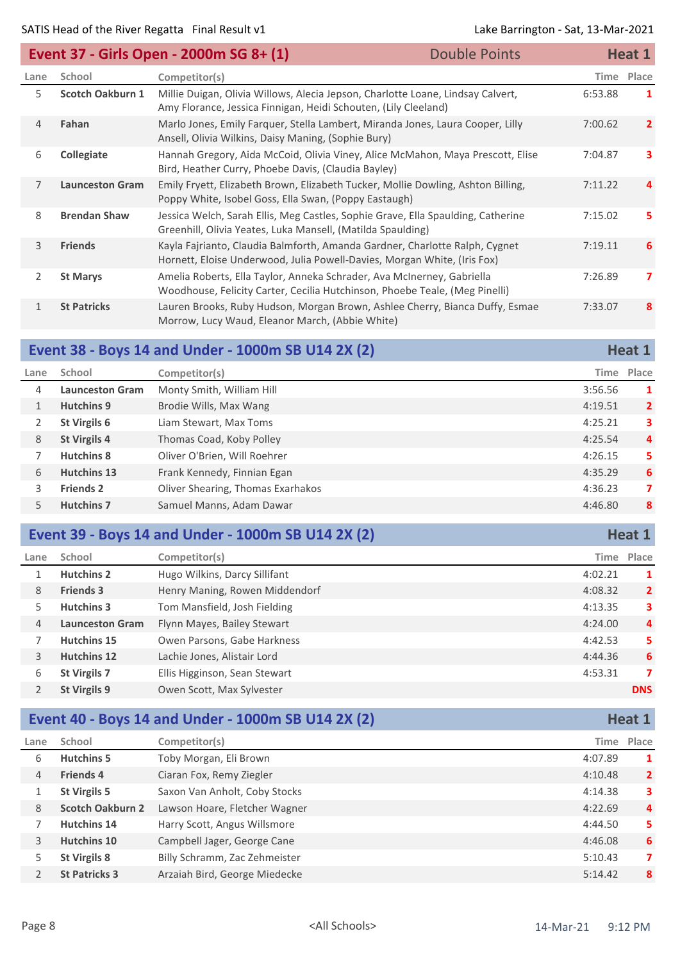| Event 37 - Girls Open - 2000m SG 8+ (1) |                         | <b>Double Points</b>                                                                                                                                    |  | Heat 1  |                |
|-----------------------------------------|-------------------------|---------------------------------------------------------------------------------------------------------------------------------------------------------|--|---------|----------------|
| Lane                                    | School                  | Competitor(s)                                                                                                                                           |  | Time    | Place          |
| 5.                                      | <b>Scotch Oakburn 1</b> | Millie Duigan, Olivia Willows, Alecia Jepson, Charlotte Loane, Lindsay Calvert,<br>Amy Florance, Jessica Finnigan, Heidi Schouten, (Lily Cleeland)      |  | 6:53.88 | 1              |
| $\overline{4}$                          | Fahan                   | Marlo Jones, Emily Farquer, Stella Lambert, Miranda Jones, Laura Cooper, Lilly<br>Ansell, Olivia Wilkins, Daisy Maning, (Sophie Bury)                   |  | 7:00.62 | $\mathbf{2}$   |
| 6                                       | Collegiate              | Hannah Gregory, Aida McCoid, Olivia Viney, Alice McMahon, Maya Prescott, Elise<br>Bird, Heather Curry, Phoebe Davis, (Claudia Bayley)                   |  | 7:04.87 | з.             |
| $\overline{7}$                          | <b>Launceston Gram</b>  | Emily Fryett, Elizabeth Brown, Elizabeth Tucker, Mollie Dowling, Ashton Billing,<br>Poppy White, Isobel Goss, Ella Swan, (Poppy Eastaugh)               |  | 7:11.22 | 4              |
| 8                                       | <b>Brendan Shaw</b>     | Jessica Welch, Sarah Ellis, Meg Castles, Sophie Grave, Ella Spaulding, Catherine<br>Greenhill, Olivia Yeates, Luka Mansell, (Matilda Spaulding)         |  | 7:15.02 | 5.             |
| 3                                       | <b>Friends</b>          | Kayla Fajrianto, Claudia Balmforth, Amanda Gardner, Charlotte Ralph, Cygnet<br>Hornett, Eloise Underwood, Julia Powell-Davies, Morgan White, (Iris Fox) |  | 7:19.11 | 6              |
| $\overline{2}$                          | <b>St Marys</b>         | Amelia Roberts, Ella Taylor, Anneka Schrader, Ava McInerney, Gabriella<br>Woodhouse, Felicity Carter, Cecilia Hutchinson, Phoebe Teale, (Meg Pinelli)   |  | 7:26.89 | $\overline{ }$ |
| $\mathbf{1}$                            | <b>St Patricks</b>      | Lauren Brooks, Ruby Hudson, Morgan Brown, Ashlee Cherry, Bianca Duffy, Esmae<br>Morrow, Lucy Waud, Eleanor March, (Abbie White)                         |  | 7:33.07 | 8              |

### **Event 38 - Boys 14 and Under - 1000m SB U14 2X (2) Heat 1 Heat 1**

| Lane | School                 | Competitor(s)                     | Time    | Place          |
|------|------------------------|-----------------------------------|---------|----------------|
| 4    | <b>Launceston Gram</b> | Monty Smith, William Hill         | 3:56.56 | 1              |
|      | <b>Hutchins 9</b>      | Brodie Wills, Max Wang            | 4:19.51 | $\overline{2}$ |
|      | St Virgils 6           | Liam Stewart, Max Toms            | 4:25.21 | 3              |
| 8    | <b>St Virgils 4</b>    | Thomas Coad, Koby Polley          | 4:25.54 | 4              |
|      | Hutchins 8             | Oliver O'Brien, Will Roehrer      | 4:26.15 | 5              |
| 6    | <b>Hutchins 13</b>     | Frank Kennedy, Finnian Egan       | 4:35.29 | 6              |
| 3.   | <b>Friends 2</b>       | Oliver Shearing, Thomas Exarhakos | 4:36.23 | 7              |
|      | <b>Hutchins 7</b>      | Samuel Manns, Adam Dawar          | 4:46.80 | 8              |

## **Event 39 - Boys 14 and Under - 1000m SB U14 2X (2) Heat 1 Heat 1**

| Lane | School                 | Competitor(s)                  |         | Time Place     |
|------|------------------------|--------------------------------|---------|----------------|
|      | <b>Hutchins 2</b>      | Hugo Wilkins, Darcy Sillifant  | 4:02.21 | 1              |
| 8    | <b>Friends 3</b>       | Henry Maning, Rowen Middendorf | 4:08.32 | $\overline{2}$ |
| 5.   | Hutchins 3             | Tom Mansfield, Josh Fielding   | 4:13.35 | 3              |
| 4    | <b>Launceston Gram</b> | Flynn Mayes, Bailey Stewart    | 4:24.00 | 4              |
|      | <b>Hutchins 15</b>     | Owen Parsons, Gabe Harkness    | 4:42.53 | 5              |
| 3    | <b>Hutchins 12</b>     | Lachie Jones, Alistair Lord    | 4:44.36 | 6              |
| 6    | <b>St Virgils 7</b>    | Ellis Higginson, Sean Stewart  | 4:53.31 | 7              |
|      | St Virgils 9           | Owen Scott, Max Sylvester      |         | <b>DNS</b>     |

#### **Event 40 - Boys 14 and Under - 1000m SB U14 2X (2) Heat 1 Heat 1**

| Lane | School                  | Competitor(s)                 |         | Time Place     |
|------|-------------------------|-------------------------------|---------|----------------|
| 6    | <b>Hutchins 5</b>       | Toby Morgan, Eli Brown        | 4:07.89 | 1              |
| 4    | <b>Friends 4</b>        | Ciaran Fox, Remy Ziegler      | 4:10.48 | $\overline{2}$ |
|      | <b>St Virgils 5</b>     | Saxon Van Anholt, Coby Stocks | 4:14.38 | 3              |
| 8    | <b>Scotch Oakburn 2</b> | Lawson Hoare, Fletcher Wagner | 4:22.69 | $\overline{a}$ |
|      | <b>Hutchins 14</b>      | Harry Scott, Angus Willsmore  | 4:44.50 | 5.             |
| 3    | Hutchins 10             | Campbell Jager, George Cane   | 4:46.08 | 6              |
| 5    | <b>St Virgils 8</b>     | Billy Schramm, Zac Zehmeister | 5:10.43 | 7              |
|      | <b>St Patricks 3</b>    | Arzaiah Bird, George Miedecke | 5:14.42 | 8              |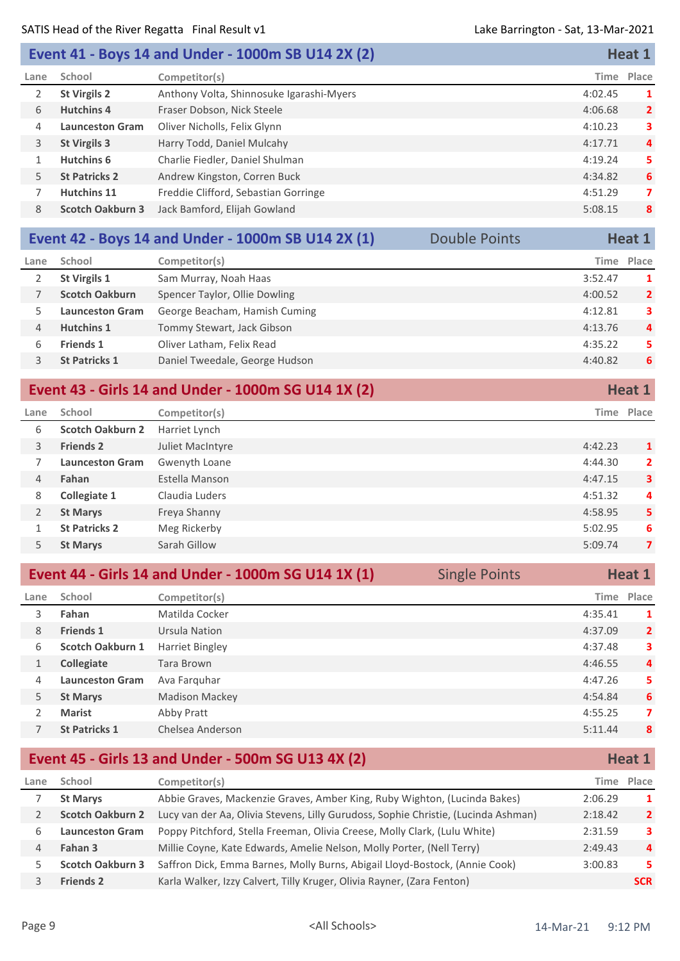## **Event 41 - Boys 14 and Under - 1000m SB U14 2X (2) Heat 1 Heat 1**

| Lane | School                  | Competitor(s)                            | Time Place |                |
|------|-------------------------|------------------------------------------|------------|----------------|
|      | <b>St Virgils 2</b>     | Anthony Volta, Shinnosuke Igarashi-Myers | 4:02.45    | 1              |
| 6    | <b>Hutchins 4</b>       | Fraser Dobson, Nick Steele               | 4:06.68    | $\overline{2}$ |
| 4    | <b>Launceston Gram</b>  | Oliver Nicholls, Felix Glynn             | 4:10.23    | 3              |
| 3    | <b>St Virgils 3</b>     | Harry Todd, Daniel Mulcahy               | 4:17.71    | $\overline{4}$ |
|      | Hutchins 6              | Charlie Fiedler, Daniel Shulman          | 4:19.24    | 5              |
| 5.   | <b>St Patricks 2</b>    | Andrew Kingston, Corren Buck             | 4:34.82    | 6              |
|      | <b>Hutchins 11</b>      | Freddie Clifford, Sebastian Gorringe     | 4:51.29    | 7              |
| 8    | <b>Scotch Oakburn 3</b> | Jack Bamford, Elijah Gowland             | 5:08.15    | 8              |
|      |                         |                                          |            |                |

|      |                        | Event 42 - Boys 14 and Under - 1000m SB U14 2X (1) | <b>Double Points</b> |         | Heat 1         |
|------|------------------------|----------------------------------------------------|----------------------|---------|----------------|
| Lane | School                 | Competitor(s)                                      |                      | Time    | Place          |
|      | St Virgils 1           | Sam Murray, Noah Haas                              |                      | 3:52.47 | 1              |
|      | <b>Scotch Oakburn</b>  | Spencer Taylor, Ollie Dowling                      |                      | 4:00.52 | $\overline{2}$ |
|      | <b>Launceston Gram</b> | George Beacham, Hamish Cuming                      |                      | 4:12.81 | 3              |
| 4    | <b>Hutchins 1</b>      | Tommy Stewart, Jack Gibson                         |                      | 4:13.76 | 4              |
| 6    | <b>Friends 1</b>       | Oliver Latham, Felix Read                          |                      | 4:35.22 | 5              |
|      | <b>St Patricks 1</b>   | Daniel Tweedale, George Hudson                     |                      | 4:40.82 | 6              |
|      |                        |                                                    |                      |         |                |

|                |                         | Event 43 - Girls 14 and Under - 1000m SG U14 1X (2) |         | Heat 1         |
|----------------|-------------------------|-----------------------------------------------------|---------|----------------|
| Lane           | School                  | Competitor(s)                                       |         | Time Place     |
| 6              | <b>Scotch Oakburn 2</b> | Harriet Lynch                                       |         |                |
| 3              | <b>Friends 2</b>        | Juliet MacIntyre                                    | 4:42.23 | <sup>1</sup>   |
|                | <b>Launceston Gram</b>  | Gwenyth Loane                                       | 4:44.30 | $\overline{2}$ |
| 4              | Fahan                   | Estella Manson                                      | 4:47.15 | $\mathbf{3}$   |
| 8              | Collegiate 1            | Claudia Luders                                      | 4:51.32 | 4              |
| $\overline{2}$ | <b>St Marys</b>         | Freya Shanny                                        | 4:58.95 | 5              |
|                | <b>St Patricks 2</b>    | Meg Rickerby                                        | 5:02.95 | 6              |
| 5.             | <b>St Marys</b>         | Sarah Gillow                                        | 5:09.74 | 7              |

|      | Event 44 - Girls 14 and Under - 1000m SG U14 1X (1) |                       | <b>Single Points</b> |            | Heat 1         |  |
|------|-----------------------------------------------------|-----------------------|----------------------|------------|----------------|--|
| Lane | School                                              | Competitor(s)         |                      | Time Place |                |  |
| 3    | Fahan                                               | Matilda Cocker        |                      | 4:35.41    | 1              |  |
| 8    | <b>Friends 1</b>                                    | Ursula Nation         |                      | 4:37.09    | $\overline{2}$ |  |
| 6    | Scotch Oakburn 1                                    | Harriet Bingley       |                      | 4:37.48    | 3              |  |
|      | Collegiate                                          | <b>Tara Brown</b>     |                      | 4:46.55    | 4              |  |
| 4    | <b>Launceston Gram</b>                              | Ava Farquhar          |                      | 4:47.26    | 5.             |  |
| 5.   | <b>St Marys</b>                                     | <b>Madison Mackey</b> |                      | 4:54.84    | 6              |  |
|      | <b>Marist</b>                                       | Abby Pratt            |                      | 4:55.25    | 7              |  |
|      | <b>St Patricks 1</b>                                | Chelsea Anderson      |                      | 5:11.44    | 8              |  |

## **Event 45 - Girls 13 and Under - 500m SG U13 4X (2) Heat 1 Heat 1**

| Lane | School                  | Competitor(s)                                                                      | Time    | Place          |
|------|-------------------------|------------------------------------------------------------------------------------|---------|----------------|
|      | <b>St Marys</b>         | Abbie Graves, Mackenzie Graves, Amber King, Ruby Wighton, (Lucinda Bakes)          | 2:06.29 | 1              |
|      | <b>Scotch Oakburn 2</b> | Lucy van der Aa, Olivia Stevens, Lilly Gurudoss, Sophie Christie, (Lucinda Ashman) | 2:18.42 | $\overline{2}$ |
| b    | <b>Launceston Gram</b>  | Poppy Pitchford, Stella Freeman, Olivia Creese, Molly Clark, (Lulu White)          | 2:31.59 | 3              |
| 4    | Fahan 3                 | Millie Coyne, Kate Edwards, Amelie Nelson, Molly Porter, (Nell Terry)              | 2:49.43 | 4              |
|      | <b>Scotch Oakburn 3</b> | Saffron Dick, Emma Barnes, Molly Burns, Abigail Lloyd-Bostock, (Annie Cook)        | 3:00.83 | 5.             |
|      | <b>Friends 2</b>        | Karla Walker, Izzy Calvert, Tilly Kruger, Olivia Rayner, (Zara Fenton)             |         | <b>SCR</b>     |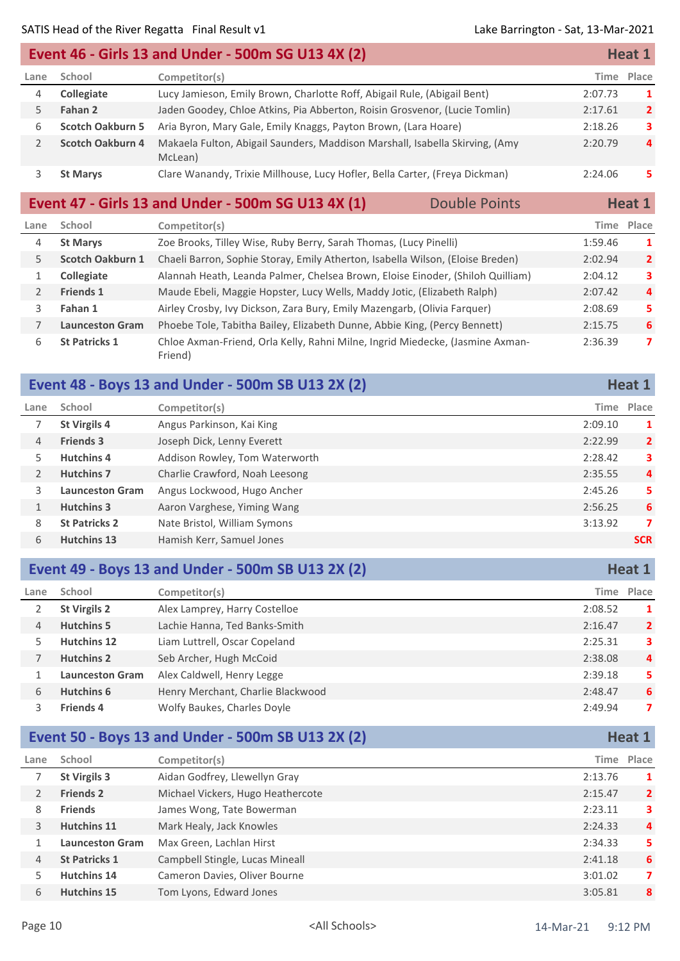|      |                         | Event 46 - Girls 13 and Under - 500m SG U13 4X (2)                                      |         | <b>Heat 1</b>  |
|------|-------------------------|-----------------------------------------------------------------------------------------|---------|----------------|
| Lane | School                  | Competitor(s)                                                                           |         | Time Place     |
| 4    | <b>Collegiate</b>       | Lucy Jamieson, Emily Brown, Charlotte Roff, Abigail Rule, (Abigail Bent)                | 2:07.73 | 1              |
|      | Fahan 2                 | Jaden Goodey, Chloe Atkins, Pia Abberton, Roisin Grosvenor, (Lucie Tomlin)              | 2:17.61 | $\overline{2}$ |
| 6    | <b>Scotch Oakburn 5</b> | Aria Byron, Mary Gale, Emily Knaggs, Payton Brown, (Lara Hoare)                         | 2:18.26 | 3              |
|      | <b>Scotch Oakburn 4</b> | Makaela Fulton, Abigail Saunders, Maddison Marshall, Isabella Skirving, (Amy<br>McLean) | 2:20.79 | 4              |
|      | <b>St Marys</b>         | Clare Wanandy, Trixie Millhouse, Lucy Hofler, Bella Carter, (Freya Dickman)             | 2:24.06 | 5.             |

#### **Event 47 - Girls 13 and Under - 500m SG U13 4X (1)** Double Points **Heat 1**

| Lane | School                  | Competitor(s)                                                                            | Time    | Place          |
|------|-------------------------|------------------------------------------------------------------------------------------|---------|----------------|
| 4    | <b>St Marys</b>         | Zoe Brooks, Tilley Wise, Ruby Berry, Sarah Thomas, (Lucy Pinelli)                        | 1:59.46 | 1              |
| 5.   | <b>Scotch Oakburn 1</b> | Chaeli Barron, Sophie Storay, Emily Atherton, Isabella Wilson, (Eloise Breden)           | 2:02.94 | $\overline{2}$ |
|      | <b>Collegiate</b>       | Alannah Heath, Leanda Palmer, Chelsea Brown, Eloise Einoder, (Shiloh Quilliam)           | 2:04.12 | 3              |
|      | <b>Friends 1</b>        | Maude Ebeli, Maggie Hopster, Lucy Wells, Maddy Jotic, (Elizabeth Ralph)                  | 2:07.42 | 4              |
| 3    | Fahan 1                 | Airley Crosby, Ivy Dickson, Zara Bury, Emily Mazengarb, (Olivia Farquer)                 | 2:08.69 | 5              |
|      | <b>Launceston Gram</b>  | Phoebe Tole, Tabitha Bailey, Elizabeth Dunne, Abbie King, (Percy Bennett)                | 2:15.75 | 6              |
| 6    | <b>St Patricks 1</b>    | Chloe Axman-Friend, Orla Kelly, Rahni Milne, Ingrid Miedecke, (Jasmine Axman-<br>Friend) | 2:36.39 | 7              |

|      |                        | Event 48 - Boys 13 and Under - 500m SB U13 2X (2) |         | Heat 1         |
|------|------------------------|---------------------------------------------------|---------|----------------|
| Lane | School                 | Competitor(s)                                     |         | Time Place     |
|      | St Virgils 4           | Angus Parkinson, Kai King                         | 2:09.10 | 1              |
| 4    | <b>Friends 3</b>       | Joseph Dick, Lenny Everett                        | 2:22.99 | $\overline{2}$ |
| 5.   | <b>Hutchins 4</b>      | Addison Rowley, Tom Waterworth                    | 2:28.42 | 3              |
| 2    | <b>Hutchins 7</b>      | Charlie Crawford, Noah Leesong                    | 2:35.55 | $\overline{4}$ |
| 3    | <b>Launceston Gram</b> | Angus Lockwood, Hugo Ancher                       | 2:45.26 | 5.             |
|      | <b>Hutchins 3</b>      | Aaron Varghese, Yiming Wang                       | 2:56.25 | 6              |
| 8    | <b>St Patricks 2</b>   | Nate Bristol, William Symons                      | 3:13.92 | 7              |
| 6    | <b>Hutchins 13</b>     | Hamish Kerr, Samuel Jones                         |         | <b>SCR</b>     |
|      |                        |                                                   |         |                |

#### **Event 49 - Boys 13 and Under - 500m SB U13 2X (2) Heat 1 Heat 1**

| Lane | School                 | Competitor(s)                     |         | Time Place     |
|------|------------------------|-----------------------------------|---------|----------------|
|      | <b>St Virgils 2</b>    | Alex Lamprey, Harry Costelloe     | 2:08.52 | 1              |
| 4    | <b>Hutchins 5</b>      | Lachie Hanna, Ted Banks-Smith     | 2:16.47 | $\overline{2}$ |
|      | <b>Hutchins 12</b>     | Liam Luttrell, Oscar Copeland     | 2:25.31 | 3              |
|      | <b>Hutchins 2</b>      | Seb Archer, Hugh McCoid           | 2:38.08 | $\overline{a}$ |
|      | <b>Launceston Gram</b> | Alex Caldwell, Henry Legge        | 2:39.18 | 5              |
| 6    | Hutchins 6             | Henry Merchant, Charlie Blackwood | 2:48.47 | 6              |
|      | <b>Friends 4</b>       | Wolfy Baukes, Charles Doyle       | 2:49.94 | 7              |

## **Event 50 - Boys 13 and Under - 500m SB U13 2X (2) Heat 1 Heat 1**

| Lane | School                 | Competitor(s)                     |         | Time Place     |
|------|------------------------|-----------------------------------|---------|----------------|
|      | <b>St Virgils 3</b>    | Aidan Godfrey, Llewellyn Gray     | 2:13.76 |                |
|      | <b>Friends 2</b>       | Michael Vickers, Hugo Heathercote | 2:15.47 | $\overline{2}$ |
| 8    | <b>Friends</b>         | James Wong, Tate Bowerman         | 2:23.11 | 3.             |
| 3    | <b>Hutchins 11</b>     | Mark Healy, Jack Knowles          | 2:24.33 | $\overline{a}$ |
|      | <b>Launceston Gram</b> | Max Green, Lachlan Hirst          | 2:34.33 | 5.             |
| 4    | <b>St Patricks 1</b>   | Campbell Stingle, Lucas Mineall   | 2:41.18 | 6              |
|      | <b>Hutchins 14</b>     | Cameron Davies, Oliver Bourne     | 3:01.02 | 7              |
| 6    | <b>Hutchins 15</b>     | Tom Lyons, Edward Jones           | 3:05.81 | 8              |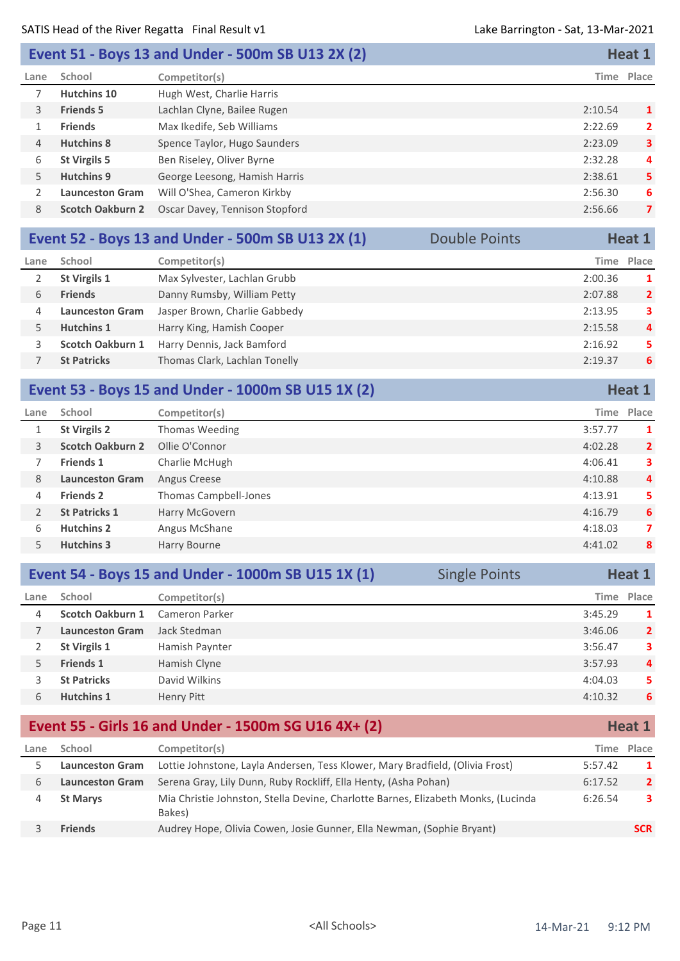| <b>Event 51 - Boys 13 and Under - 500m SB U13 2X (2)</b> | Heat 1 |
|----------------------------------------------------------|--------|
|----------------------------------------------------------|--------|

| Lane | School                  | Competitor(s)                  |         | Time Place   |
|------|-------------------------|--------------------------------|---------|--------------|
|      | Hutchins 10             | Hugh West, Charlie Harris      |         |              |
| 3    | <b>Friends 5</b>        | Lachlan Clyne, Bailee Rugen    | 2:10.54 | 1            |
|      | <b>Friends</b>          | Max Ikedife, Seb Williams      | 2:22.69 | $\mathbf{2}$ |
| 4    | <b>Hutchins 8</b>       | Spence Taylor, Hugo Saunders   | 2:23.09 | 3            |
| 6    | <b>St Virgils 5</b>     | Ben Riseley, Oliver Byrne      | 2:32.28 | 4            |
| 5.   | <b>Hutchins 9</b>       | George Leesong, Hamish Harris  | 2:38.61 | 5.           |
|      | <b>Launceston Gram</b>  | Will O'Shea, Cameron Kirkby    | 2:56.30 | 6            |
| 8    | <b>Scotch Oakburn 2</b> | Oscar Davey, Tennison Stopford | 2:56.66 | 7            |
|      |                         |                                |         |              |

|      |                        | Event 52 - Boys 13 and Under - 500m SB U13 2X (1) | <b>Double Points</b> |         | Heat 1         |
|------|------------------------|---------------------------------------------------|----------------------|---------|----------------|
| Lane | School                 | Competitor(s)                                     |                      | Time    | Place          |
|      | St Virgils 1           | Max Sylvester, Lachlan Grubb                      |                      | 2:00.36 | 1              |
| 6    | <b>Friends</b>         | Danny Rumsby, William Petty                       |                      | 2:07.88 | $\overline{2}$ |
| 4    | <b>Launceston Gram</b> | Jasper Brown, Charlie Gabbedy                     |                      | 2:13.95 | 3              |
|      | <b>Hutchins 1</b>      | Harry King, Hamish Cooper                         |                      | 2:15.58 | $\overline{4}$ |
|      | Scotch Oakburn 1       | Harry Dennis, Jack Bamford                        |                      | 2:16.92 | 5              |
|      | <b>St Patricks</b>     | Thomas Clark, Lachlan Tonelly                     |                      | 2:19.37 | 6              |
|      |                        |                                                   |                      |         |                |

|                |                         | Event 53 - Boys 15 and Under - 1000m SB U15 1X (2) |         | Heat 1         |
|----------------|-------------------------|----------------------------------------------------|---------|----------------|
| Lane           | School                  | Competitor(s)                                      | Time    | Place          |
|                | <b>St Virgils 2</b>     | Thomas Weeding                                     | 3:57.77 | 1              |
| 3              | <b>Scotch Oakburn 2</b> | Ollie O'Connor                                     | 4:02.28 | $\overline{2}$ |
|                | <b>Friends 1</b>        | Charlie McHugh                                     | 4:06.41 | 3              |
| 8              | <b>Launceston Gram</b>  | Angus Creese                                       | 4:10.88 | 4              |
| 4              | <b>Friends 2</b>        | Thomas Campbell-Jones                              | 4:13.91 | 5              |
| $\overline{2}$ | <b>St Patricks 1</b>    | Harry McGovern                                     | 4:16.79 | 6              |
| 6              | <b>Hutchins 2</b>       | Angus McShane                                      | 4:18.03 | $\overline{7}$ |
| 5              | <b>Hutchins 3</b>       | Harry Bourne                                       | 4:41.02 | 8              |

|      |                         | Event 54 - Boys 15 and Under - 1000m SB U15 1X (1) | <b>Single Points</b> |            | Heat 1         |
|------|-------------------------|----------------------------------------------------|----------------------|------------|----------------|
| Lane | School                  | Competitor(s)                                      |                      | Time Place |                |
| 4    | <b>Scotch Oakburn 1</b> | Cameron Parker                                     |                      | 3:45.29    | $\mathbf{1}$   |
|      | <b>Launceston Gram</b>  | Jack Stedman                                       |                      | 3:46.06    | $\overline{2}$ |
|      | <b>St Virgils 1</b>     | Hamish Paynter                                     |                      | 3:56.47    | 3              |
| 5.   | <b>Friends 1</b>        | Hamish Clyne                                       |                      | 3:57.93    | $\overline{a}$ |
|      | <b>St Patricks</b>      | David Wilkins                                      |                      | 4:04.03    | 5.             |
| 6    | <b>Hutchins 1</b>       | Henry Pitt                                         |                      | 4:10.32    | 6              |
|      |                         |                                                    |                      |            |                |

#### **Event 55 - Girls 16 and Under - 1500m SG U16 4X+ (2) Heat 1 Heat 1 Lane School Competitor(s) Time Place Launceston Gram** Lottie Johnstone, Layla Andersen, Tess Klower, Mary Bradfield, (Olivia Frost) 5:57.42 **1 Launceston Gram** Serena Gray, Lily Dunn, Ruby Rockliff, Ella Henty, (Asha Pohan) 6:17.52 **2** Mia Christie Johnston, Stella Devine, Charlotte Barnes, Elizabeth Monks, (Lucinda **St Marys** 6:26.54 **3** Bakes) **Friends** Audrey Hope, Olivia Cowen, Josie Gunner, Ella Newman, (Sophie Bryant) **SCR**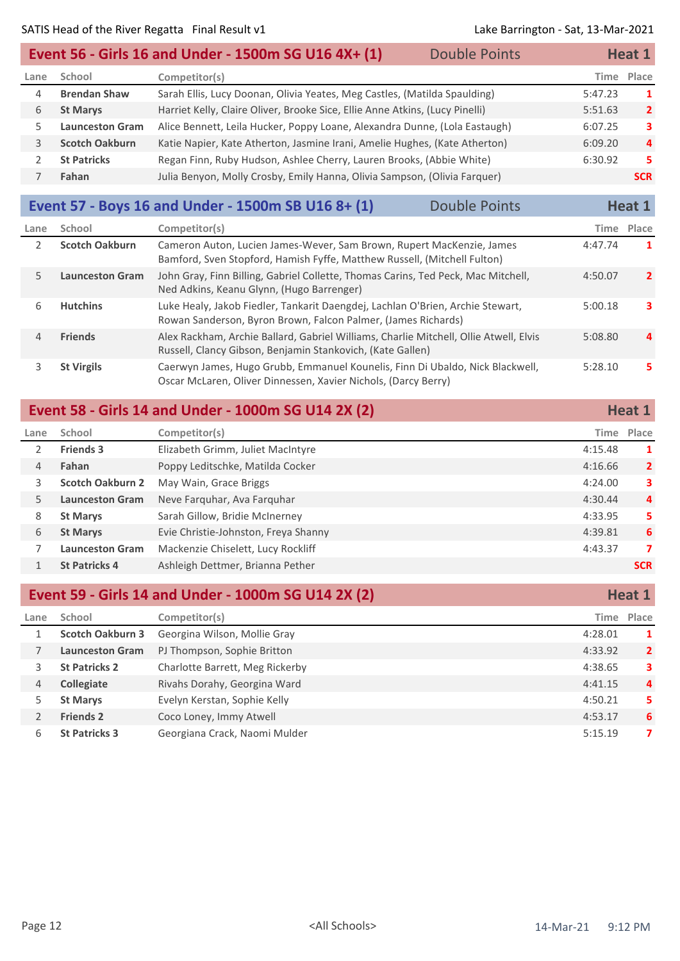|      |                        | Event 56 - Girls 16 and Under - 1500m SG U16 4X+ (1)                         | <b>Double Points</b> |         | Heat 1         |
|------|------------------------|------------------------------------------------------------------------------|----------------------|---------|----------------|
| Lane | School                 | Competitor(s)                                                                |                      |         | Time Place     |
| 4    | <b>Brendan Shaw</b>    | Sarah Ellis, Lucy Doonan, Olivia Yeates, Meg Castles, (Matilda Spaulding)    |                      | 5:47.23 | -1             |
| 6    | <b>St Marys</b>        | Harriet Kelly, Claire Oliver, Brooke Sice, Ellie Anne Atkins, (Lucy Pinelli) |                      | 5:51.63 | $\overline{2}$ |
|      | <b>Launceston Gram</b> | Alice Bennett, Leila Hucker, Poppy Loane, Alexandra Dunne, (Lola Eastaugh)   |                      | 6:07.25 | 3              |
| 3    | <b>Scotch Oakburn</b>  | Katie Napier, Kate Atherton, Jasmine Irani, Amelie Hughes, (Kate Atherton)   |                      | 6:09.20 | $\mathbf{a}$   |
|      | <b>St Patricks</b>     | Regan Finn, Ruby Hudson, Ashlee Cherry, Lauren Brooks, (Abbie White)         |                      | 6:30.92 | 5.             |
|      | Fahan                  | Julia Benyon, Molly Crosby, Emily Hanna, Olivia Sampson, (Olivia Farquer)    |                      |         | <b>SCR</b>     |

## **Event 57 - Boys 16 and Under - 1500m SB U16 8+ (1)** Double Points **Heat 1**

| Lane | School                 | Competitor(s)                                                                                                                                       |         | Time Place     |
|------|------------------------|-----------------------------------------------------------------------------------------------------------------------------------------------------|---------|----------------|
|      | <b>Scotch Oakburn</b>  | Cameron Auton, Lucien James-Wever, Sam Brown, Rupert MacKenzie, James<br>Bamford, Sven Stopford, Hamish Fyffe, Matthew Russell, (Mitchell Fulton)   | 4:47.74 | 1              |
| 5.   | <b>Launceston Gram</b> | John Gray, Finn Billing, Gabriel Collette, Thomas Carins, Ted Peck, Mac Mitchell,<br>Ned Adkins, Keanu Glynn, (Hugo Barrenger)                      | 4:50.07 | $\mathbf{2}$   |
| 6    | <b>Hutchins</b>        | Luke Healy, Jakob Fiedler, Tankarit Daengdej, Lachlan O'Brien, Archie Stewart,<br>Rowan Sanderson, Byron Brown, Falcon Palmer, (James Richards)     | 5:00.18 | з.             |
| 4    | <b>Friends</b>         | Alex Rackham, Archie Ballard, Gabriel Williams, Charlie Mitchell, Ollie Atwell, Elvis<br>Russell, Clancy Gibson, Benjamin Stankovich, (Kate Gallen) | 5:08.80 | $\overline{a}$ |
|      | <b>St Virgils</b>      | Caerwyn James, Hugo Grubb, Emmanuel Kounelis, Finn Di Ubaldo, Nick Blackwell,<br>Oscar McLaren, Oliver Dinnessen, Xavier Nichols, (Darcy Berry)     | 5:28.10 | 5.             |

| Event 58 - Girls 14 and Under - 1000m SG U14 2X (2) |                         | Heat 1                               |         |                |
|-----------------------------------------------------|-------------------------|--------------------------------------|---------|----------------|
| Lane                                                | School                  | Competitor(s)                        | Time    | Place          |
|                                                     | <b>Friends 3</b>        | Elizabeth Grimm, Juliet MacIntyre    | 4:15.48 | 1              |
| 4                                                   | Fahan                   | Poppy Leditschke, Matilda Cocker     | 4:16.66 | $\overline{2}$ |
| 3                                                   | <b>Scotch Oakburn 2</b> | May Wain, Grace Briggs               | 4:24.00 | 3              |
| 5                                                   | <b>Launceston Gram</b>  | Neve Farquhar, Ava Farquhar          | 4:30.44 | 4              |
| 8                                                   | <b>St Marys</b>         | Sarah Gillow, Bridie McInerney       | 4:33.95 | 5.             |
| 6                                                   | <b>St Marys</b>         | Evie Christie-Johnston, Freya Shanny | 4:39.81 | 6              |
|                                                     | <b>Launceston Gram</b>  | Mackenzie Chiselett, Lucy Rockliff   | 4:43.37 | 7              |
|                                                     | <b>St Patricks 4</b>    | Ashleigh Dettmer, Brianna Pether     |         | <b>SCR</b>     |
|                                                     |                         |                                      |         |                |

|      | Event 59 - Girls 14 and Under - 1000m SG U14 2X (2) |                                 | Heat 1  |                |
|------|-----------------------------------------------------|---------------------------------|---------|----------------|
| Lane | School                                              | Competitor(s)                   |         | Time Place     |
|      | <b>Scotch Oakburn 3</b>                             | Georgina Wilson, Mollie Gray    | 4:28.01 | 1              |
|      | <b>Launceston Gram</b>                              | PJ Thompson, Sophie Britton     | 4:33.92 | $\overline{2}$ |
| 3.   | <b>St Patricks 2</b>                                | Charlotte Barrett, Meg Rickerby | 4:38.65 | 3              |
| 4    | <b>Collegiate</b>                                   | Rivahs Dorahy, Georgina Ward    | 4:41.15 | $\overline{a}$ |
| 5.   | <b>St Marys</b>                                     | Evelyn Kerstan, Sophie Kelly    | 4:50.21 | 5.             |
|      | <b>Friends 2</b>                                    | Coco Loney, Immy Atwell         | 4:53.17 | -6             |
| 6    | <b>St Patricks 3</b>                                | Georgiana Crack, Naomi Mulder   | 5:15.19 | 7              |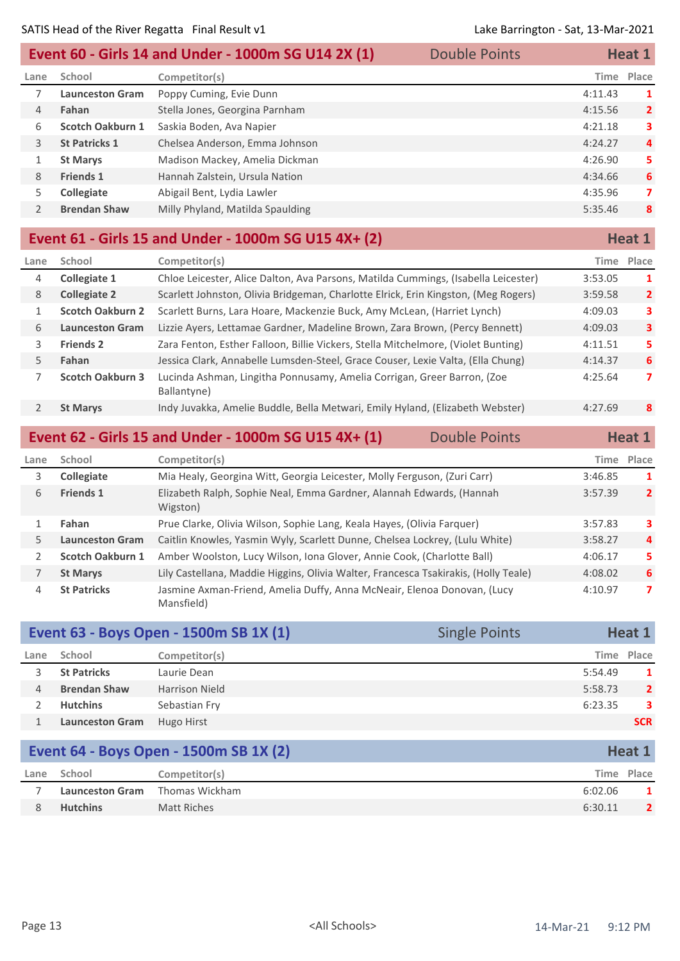|               | Event 60 - Girls 14 and Under - 1000m SG U14 2X (1)<br><b>Double Points</b> |                                  |  | Heat 1     |                |
|---------------|-----------------------------------------------------------------------------|----------------------------------|--|------------|----------------|
| Lane          | School                                                                      | Competitor(s)                    |  | Time Place |                |
|               | <b>Launceston Gram</b>                                                      | Poppy Cuming, Evie Dunn          |  | 4:11.43    | 1              |
| 4             | Fahan                                                                       | Stella Jones, Georgina Parnham   |  | 4:15.56    | $\overline{2}$ |
| 6             | <b>Scotch Oakburn 1</b>                                                     | Saskia Boden, Ava Napier         |  | 4:21.18    | 3              |
| 3             | <b>St Patricks 1</b>                                                        | Chelsea Anderson, Emma Johnson   |  | 4:24.27    | $\overline{4}$ |
|               | <b>St Marys</b>                                                             | Madison Mackey, Amelia Dickman   |  | 4:26.90    | 5              |
| 8             | <b>Friends 1</b>                                                            | Hannah Zalstein, Ursula Nation   |  | 4:34.66    | 6              |
| 5.            | <b>Collegiate</b>                                                           | Abigail Bent, Lydia Lawler       |  | 4:35.96    | 7              |
| $\mathcal{P}$ | <b>Brendan Shaw</b>                                                         | Milly Phyland, Matilda Spaulding |  | 5:35.46    | 8              |
|               |                                                                             |                                  |  |            |                |

## **Event 61 - Girls 15 and Under - 1000m SG U15 4X+ (2) Heat 1 Heat 1**

| Lane | School                  | Competitor(s)                                                                          | Time    | Place          |
|------|-------------------------|----------------------------------------------------------------------------------------|---------|----------------|
| 4    | Collegiate 1            | Chloe Leicester, Alice Dalton, Ava Parsons, Matilda Cummings, (Isabella Leicester)     | 3:53.05 | 1              |
| 8    | <b>Collegiate 2</b>     | Scarlett Johnston, Olivia Bridgeman, Charlotte Elrick, Erin Kingston, (Meg Rogers)     | 3:59.58 | $\overline{2}$ |
|      | <b>Scotch Oakburn 2</b> | Scarlett Burns, Lara Hoare, Mackenzie Buck, Amy McLean, (Harriet Lynch)                | 4:09.03 | 3              |
| 6    | <b>Launceston Gram</b>  | Lizzie Ayers, Lettamae Gardner, Madeline Brown, Zara Brown, (Percy Bennett)            | 4:09.03 | 3              |
| 3.   | <b>Friends 2</b>        | Zara Fenton, Esther Falloon, Billie Vickers, Stella Mitchelmore, (Violet Bunting)      | 4:11.51 | 5.             |
| 5.   | Fahan                   | Jessica Clark, Annabelle Lumsden-Steel, Grace Couser, Lexie Valta, (Ella Chung)        | 4:14.37 | 6              |
|      | <b>Scotch Oakburn 3</b> | Lucinda Ashman, Lingitha Ponnusamy, Amelia Corrigan, Greer Barron, (Zoe<br>Ballantyne) | 4:25.64 | 7              |
|      | <b>St Marys</b>         | Indy Juvakka, Amelie Buddle, Bella Metwari, Emily Hyland, (Elizabeth Webster)          | 4:27.69 | 8              |
|      |                         |                                                                                        |         |                |

|               | Event 62 - Girls 15 and Under - 1000m SG U15 4X+ (1)<br><b>Double Points</b> |                                                                                       |  | Heat 1  |                |
|---------------|------------------------------------------------------------------------------|---------------------------------------------------------------------------------------|--|---------|----------------|
| Lane          | School                                                                       | Competitor(s)                                                                         |  |         | Time Place     |
| 3.            | <b>Collegiate</b>                                                            | Mia Healy, Georgina Witt, Georgia Leicester, Molly Ferguson, (Zuri Carr)              |  | 3:46.85 | 1              |
| 6             | <b>Friends 1</b>                                                             | Elizabeth Ralph, Sophie Neal, Emma Gardner, Alannah Edwards, (Hannah<br>Wigston)      |  | 3:57.39 | $\overline{2}$ |
|               | Fahan                                                                        | Prue Clarke, Olivia Wilson, Sophie Lang, Keala Hayes, (Olivia Farquer)                |  | 3:57.83 | 3              |
| 5             | <b>Launceston Gram</b>                                                       | Caitlin Knowles, Yasmin Wyly, Scarlett Dunne, Chelsea Lockrey, (Lulu White)           |  | 3:58.27 | $\overline{a}$ |
| $\mathcal{L}$ | <b>Scotch Oakburn 1</b>                                                      | Amber Woolston, Lucy Wilson, Iona Glover, Annie Cook, (Charlotte Ball)                |  | 4:06.17 | 5.             |
|               | <b>St Marys</b>                                                              | Lily Castellana, Maddie Higgins, Olivia Walter, Francesca Tsakirakis, (Holly Teale)   |  | 4:08.02 | 6              |
| 4             | <b>St Patricks</b>                                                           | Jasmine Axman-Friend, Amelia Duffy, Anna McNeair, Elenoa Donovan, (Lucy<br>Mansfield) |  | 4:10.97 | 7              |

| Event 63 - Boys Open - 1500m SB 1X (1)<br><b>Single Points</b> |                        | Heat 1                |         |                |
|----------------------------------------------------------------|------------------------|-----------------------|---------|----------------|
| Lane                                                           | School                 | Competitor(s)         |         | Time Place     |
|                                                                | <b>St Patricks</b>     | Laurie Dean           | 5:54.49 | $\mathbf{1}$   |
| 4                                                              | <b>Brendan Shaw</b>    | <b>Harrison Nield</b> | 5:58.73 | $\overline{2}$ |
|                                                                | <b>Hutchins</b>        | Sebastian Fry         | 6:23.35 | 3              |
|                                                                | <b>Launceston Gram</b> | Hugo Hirst            |         | <b>SCR</b>     |

| <b>Event 64 - Boys Open - 1500m SB 1X (2)</b> |                        |                | Heat 1  |            |
|-----------------------------------------------|------------------------|----------------|---------|------------|
| Lane                                          | School                 | Competitor(s)  |         | Time Place |
|                                               | <b>Launceston Gram</b> | Thomas Wickham | 6:02.06 |            |
|                                               | <b>Hutchins</b>        | Matt Riches    | 6:30.11 |            |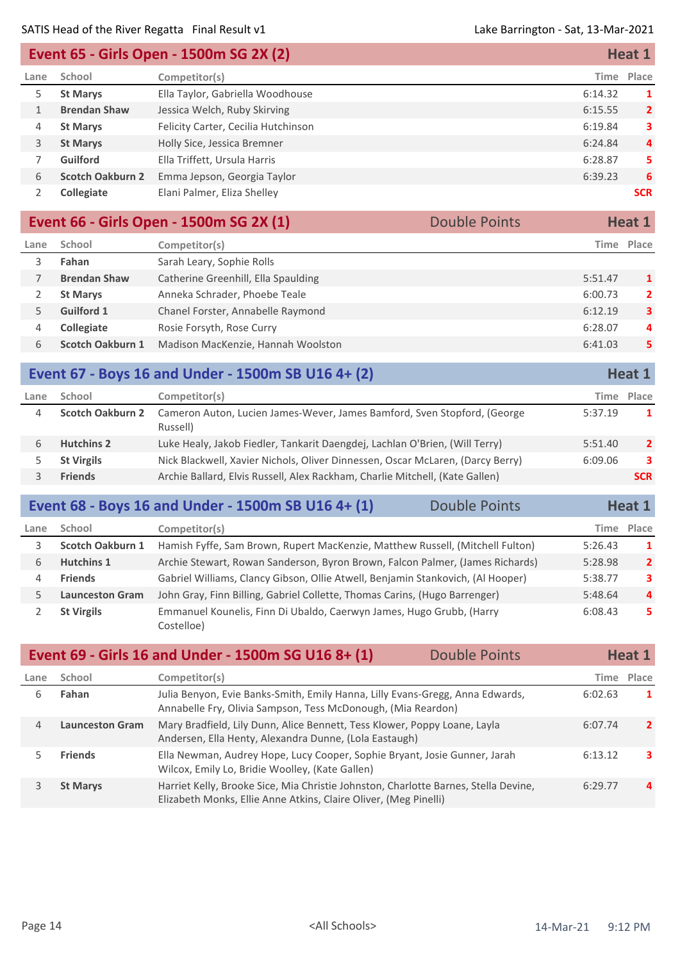| Event 65 - Girls Open - 1500m SG 2X (2) |                         |                                     | Heat 1     |                |
|-----------------------------------------|-------------------------|-------------------------------------|------------|----------------|
| Lane                                    | School                  | Competitor(s)                       | Time Place |                |
| 5.                                      | <b>St Marys</b>         | Ella Taylor, Gabriella Woodhouse    | 6:14.32    | -1             |
|                                         | <b>Brendan Shaw</b>     | Jessica Welch, Ruby Skirving        | 6:15.55    | $\overline{2}$ |
| 4                                       | <b>St Marys</b>         | Felicity Carter, Cecilia Hutchinson | 6:19.84    | 3              |
| 3                                       | <b>St Marys</b>         | Holly Sice, Jessica Bremner         | 6:24.84    | $\overline{4}$ |
|                                         | <b>Guilford</b>         | Ella Triffett, Ursula Harris        | 6:28.87    | 5              |
| 6                                       | <b>Scotch Oakburn 2</b> | Emma Jepson, Georgia Taylor         | 6:39.23    | 6              |
|                                         | <b>Collegiate</b>       | Elani Palmer, Eliza Shelley         |            | <b>SCR</b>     |

| Event 66 - Girls Open - 1500m SG 2X (1)<br><b>Double Points</b> |                         | Heat 1                              |  |         |                         |
|-----------------------------------------------------------------|-------------------------|-------------------------------------|--|---------|-------------------------|
| Lane                                                            | School                  | Competitor(s)                       |  |         | Time Place              |
|                                                                 | Fahan                   | Sarah Leary, Sophie Rolls           |  |         |                         |
|                                                                 | <b>Brendan Shaw</b>     | Catherine Greenhill, Ella Spaulding |  | 5:51.47 | 1                       |
|                                                                 | <b>St Marys</b>         | Anneka Schrader, Phoebe Teale       |  | 6:00.73 | $\overline{2}$          |
|                                                                 | <b>Guilford 1</b>       | Chanel Forster, Annabelle Raymond   |  | 6:12.19 | $\overline{\mathbf{3}}$ |
| 4                                                               | <b>Collegiate</b>       | Rosie Forsyth, Rose Curry           |  | 6:28.07 | 4                       |
| 6                                                               | <b>Scotch Oakburn 1</b> | Madison MacKenzie, Hannah Woolston  |  | 6:41.03 | 5                       |
|                                                                 |                         |                                     |  |         |                         |

| Event 67 - Boys 16 and Under - 1500m SB U16 4+ (2) |                         | Heat 1                                                                               |         |                |
|----------------------------------------------------|-------------------------|--------------------------------------------------------------------------------------|---------|----------------|
| Lane                                               | School                  | Competitor(s)                                                                        |         | Time Place     |
| 4                                                  | <b>Scotch Oakburn 2</b> | Cameron Auton, Lucien James-Wever, James Bamford, Sven Stopford, (George<br>Russell) | 5:37.19 | 1.             |
| h                                                  | <b>Hutchins 2</b>       | Luke Healy, Jakob Fiedler, Tankarit Daengdej, Lachlan O'Brien, (Will Terry)          | 5:51.40 | $\overline{2}$ |
|                                                    | <b>St Virgils</b>       | Nick Blackwell, Xavier Nichols, Oliver Dinnessen, Oscar McLaren, (Darcy Berry)       | 6:09.06 | 3              |
|                                                    | <b>Friends</b>          | Archie Ballard, Elvis Russell, Alex Rackham, Charlie Mitchell, (Kate Gallen)         |         | <b>SCR</b>     |
|                                                    |                         |                                                                                      |         |                |

|      |                         | Event 68 - Boys 16 and Under - 1500m SB U16 4+ (1)                                 | <b>Double Points</b> |         | Heat 1         |
|------|-------------------------|------------------------------------------------------------------------------------|----------------------|---------|----------------|
| Lane | School                  | Competitor(s)                                                                      |                      |         | Time Place     |
|      | <b>Scotch Oakburn 1</b> | Hamish Fyffe, Sam Brown, Rupert MacKenzie, Matthew Russell, (Mitchell Fulton)      |                      | 5:26.43 | $\mathbf{1}$   |
| 6    | <b>Hutchins 1</b>       | Archie Stewart, Rowan Sanderson, Byron Brown, Falcon Palmer, (James Richards)      |                      | 5:28.98 | $\overline{2}$ |
| 4    | <b>Friends</b>          | Gabriel Williams, Clancy Gibson, Ollie Atwell, Benjamin Stankovich, (Al Hooper)    |                      | 5:38.77 | 3              |
|      | <b>Launceston Gram</b>  | John Gray, Finn Billing, Gabriel Collette, Thomas Carins, (Hugo Barrenger)         |                      | 5:48.64 | $\overline{4}$ |
|      | <b>St Virgils</b>       | Emmanuel Kounelis, Finn Di Ubaldo, Caerwyn James, Hugo Grubb, (Harry<br>Costelloe) |                      | 6:08.43 | 5              |

|      |                        | Event 69 - Girls 16 and Under - 1500m SG U16 8+ (1)                                                                                                     | <b>Double Points</b> |         | <b>Heat 1</b> |
|------|------------------------|---------------------------------------------------------------------------------------------------------------------------------------------------------|----------------------|---------|---------------|
| Lane | School                 | Competitor(s)                                                                                                                                           |                      |         | Time Place    |
| 6    | Fahan                  | Julia Benyon, Evie Banks-Smith, Emily Hanna, Lilly Evans-Gregg, Anna Edwards,<br>Annabelle Fry, Olivia Sampson, Tess McDonough, (Mia Reardon)           |                      | 6:02.63 | 1             |
| 4    | <b>Launceston Gram</b> | Mary Bradfield, Lily Dunn, Alice Bennett, Tess Klower, Poppy Loane, Layla<br>Andersen, Ella Henty, Alexandra Dunne, (Lola Eastaugh)                     |                      | 6:07.74 | $\mathbf{2}$  |
|      | <b>Friends</b>         | Ella Newman, Audrey Hope, Lucy Cooper, Sophie Bryant, Josie Gunner, Jarah<br>Wilcox, Emily Lo, Bridie Woolley, (Kate Gallen)                            |                      | 6:13.12 | з.            |
|      | <b>St Marys</b>        | Harriet Kelly, Brooke Sice, Mia Christie Johnston, Charlotte Barnes, Stella Devine,<br>Elizabeth Monks, Ellie Anne Atkins, Claire Oliver, (Meg Pinelli) |                      | 6:29.77 | $\mathbf{a}$  |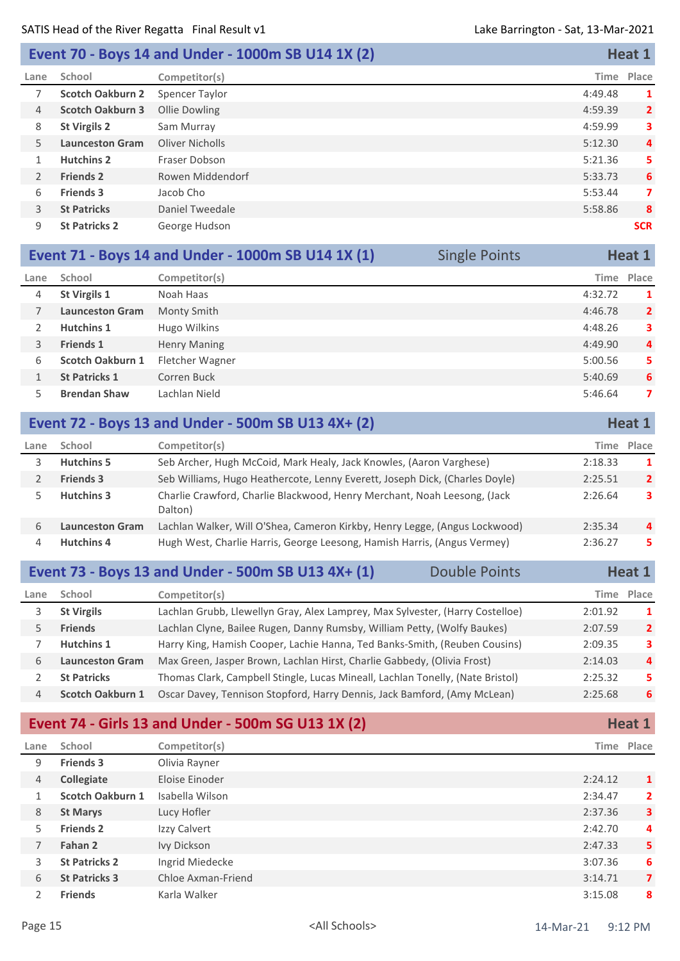## **Event 70 - Boys 14 and Under - 1000m SB U14 1X (2) Heat 1**

| Lane           | School                  | Competitor(s)    | Time    | Place          |
|----------------|-------------------------|------------------|---------|----------------|
|                | <b>Scotch Oakburn 2</b> | Spencer Taylor   | 4:49.48 | 1              |
| $\overline{4}$ | <b>Scotch Oakburn 3</b> | Ollie Dowling    | 4:59.39 | $\overline{2}$ |
| 8              | <b>St Virgils 2</b>     | Sam Murray       | 4:59.99 | 3              |
| 5              | <b>Launceston Gram</b>  | Oliver Nicholls  | 5:12.30 | 4              |
| 1              | <b>Hutchins 2</b>       | Fraser Dobson    | 5:21.36 | 5              |
| 2              | <b>Friends 2</b>        | Rowen Middendorf | 5:33.73 | 6              |
| 6              | <b>Friends 3</b>        | Jacob Cho        | 5:53.44 | 7              |
| $\overline{3}$ | <b>St Patricks</b>      | Daniel Tweedale  | 5:58.86 | 8              |
| 9              | <b>St Patricks 2</b>    | George Hudson    |         | <b>SCR</b>     |
|                |                         |                  |         |                |

| Event 71 - Boys 14 and Under - 1000m SB U14 1X (1)<br><b>Single Points</b> |                        | Heat 1              |  |            |                |
|----------------------------------------------------------------------------|------------------------|---------------------|--|------------|----------------|
| Lane                                                                       | School                 | Competitor(s)       |  | Time Place |                |
| 4                                                                          | <b>St Virgils 1</b>    | Noah Haas           |  | 4:32.72    | 1              |
|                                                                            | <b>Launceston Gram</b> | Monty Smith         |  | 4:46.78    | $\overline{2}$ |
|                                                                            | <b>Hutchins 1</b>      | Hugo Wilkins        |  | 4:48.26    | 3.             |
| 3                                                                          | <b>Friends 1</b>       | <b>Henry Maning</b> |  | 4:49.90    | 4              |
| 6                                                                          | Scotch Oakburn 1       | Fletcher Wagner     |  | 5:00.56    | 5.             |
|                                                                            | <b>St Patricks 1</b>   | Corren Buck         |  | 5:40.69    | 6              |
|                                                                            | <b>Brendan Shaw</b>    | Lachlan Nield       |  | 5:46.64    | 7              |

## **Event 72 - Boys 13 and Under - 500m SB U13 4X+ (2) Heat 1 Heat 1**

| Lane | School                 | Competitor(s)                                                                       | Time    | Place          |
|------|------------------------|-------------------------------------------------------------------------------------|---------|----------------|
|      | <b>Hutchins 5</b>      | Seb Archer, Hugh McCoid, Mark Healy, Jack Knowles, (Aaron Varghese)                 | 2:18.33 |                |
|      | <b>Friends 3</b>       | Seb Williams, Hugo Heathercote, Lenny Everett, Joseph Dick, (Charles Doyle)         | 2:25.51 | $\overline{2}$ |
|      | <b>Hutchins 3</b>      | Charlie Crawford, Charlie Blackwood, Henry Merchant, Noah Leesong, (Jack<br>Dalton) | 2:26.64 | 3              |
| h    | <b>Launceston Gram</b> | Lachlan Walker, Will O'Shea, Cameron Kirkby, Henry Legge, (Angus Lockwood)          | 2:35.34 | $\mathbf{A}$   |
|      | <b>Hutchins 4</b>      | Hugh West, Charlie Harris, George Leesong, Hamish Harris, (Angus Vermey)            | 2:36.27 | 5.             |

|      |                         | Event 73 - Boys 13 and Under - 500m SB U13 4X+ (1)                             | <b>Double Points</b> |            | Heat 1         |
|------|-------------------------|--------------------------------------------------------------------------------|----------------------|------------|----------------|
| Lane | School                  | Competitor(s)                                                                  |                      | Time Place |                |
| 3.   | <b>St Virgils</b>       | Lachlan Grubb, Llewellyn Gray, Alex Lamprey, Max Sylvester, (Harry Costelloe)  |                      | 2:01.92    | $\mathbf 1$    |
| 5.   | <b>Friends</b>          | Lachlan Clyne, Bailee Rugen, Danny Rumsby, William Petty, (Wolfy Baukes)       |                      | 2:07.59    | $\overline{2}$ |
|      | <b>Hutchins 1</b>       | Harry King, Hamish Cooper, Lachie Hanna, Ted Banks-Smith, (Reuben Cousins)     |                      | 2:09.35    | 3              |
| 6    | <b>Launceston Gram</b>  | Max Green, Jasper Brown, Lachlan Hirst, Charlie Gabbedy, (Olivia Frost)        |                      | 2:14.03    | 4              |
|      | <b>St Patricks</b>      | Thomas Clark, Campbell Stingle, Lucas Mineall, Lachlan Tonelly, (Nate Bristol) |                      | 2:25.32    | 5.             |
| 4    | <b>Scotch Oakburn 1</b> | Oscar Davey, Tennison Stopford, Harry Dennis, Jack Bamford, (Amy McLean)       |                      | 2:25.68    | 6              |
|      |                         |                                                                                |                      |            |                |

|               |                         | Event 74 - Girls 13 and Under - 500m SG U13 1X (2) |         | Heat 1         |
|---------------|-------------------------|----------------------------------------------------|---------|----------------|
| Lane          | School                  | Competitor(s)                                      |         | Time Place     |
| 9             | <b>Friends 3</b>        | Olivia Rayner                                      |         |                |
| 4             | <b>Collegiate</b>       | Eloise Einoder                                     | 2:24.12 | 1              |
| 1             | <b>Scotch Oakburn 1</b> | Isabella Wilson                                    | 2:34.47 | $\mathbf{2}$   |
| 8             | <b>St Marys</b>         | Lucy Hofler                                        | 2:37.36 | 3.             |
| 5             | <b>Friends 2</b>        | Izzy Calvert                                       | 2:42.70 | 4              |
| 7             | Fahan 2                 | Ivy Dickson                                        | 2:47.33 | 5.             |
| 3             | <b>St Patricks 2</b>    | Ingrid Miedecke                                    | 3:07.36 | 6              |
| 6             | <b>St Patricks 3</b>    | Chloe Axman-Friend                                 | 3:14.71 | $\overline{7}$ |
| $\mathcal{P}$ | <b>Friends</b>          | Karla Walker                                       | 3:15.08 | 8              |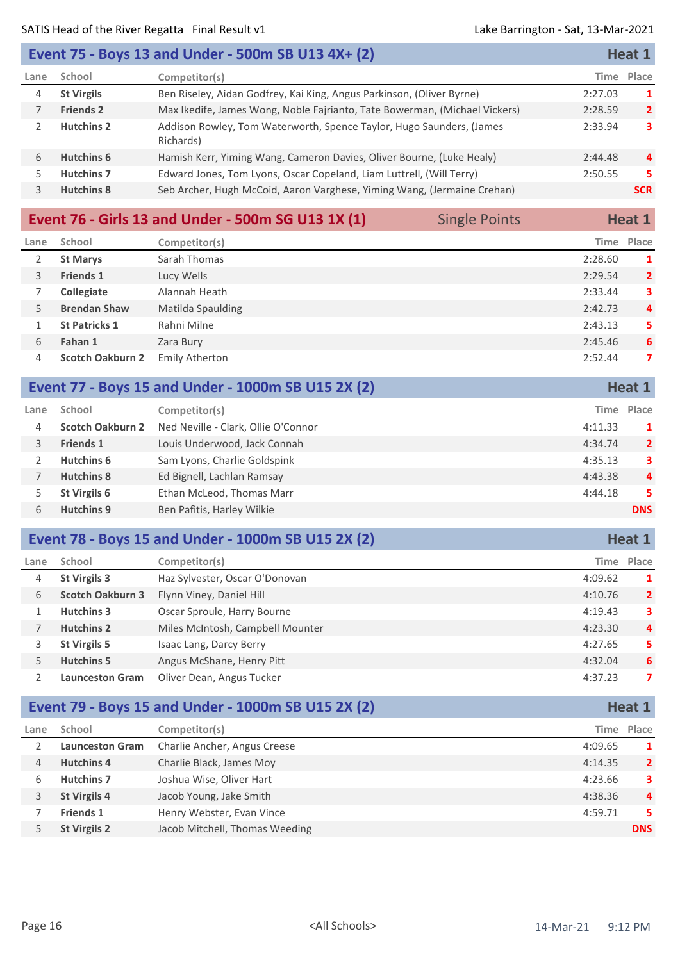|                | Event 75 - Boys 13 and Under - 500m SB U13 4X+ (2) |                                                                                   |         | Heat 1         |
|----------------|----------------------------------------------------|-----------------------------------------------------------------------------------|---------|----------------|
| Lane           | School                                             | Competitor(s)                                                                     | Time    | Place          |
| $\overline{4}$ | <b>St Virgils</b>                                  | Ben Riseley, Aidan Godfrey, Kai King, Angus Parkinson, (Oliver Byrne)             | 2:27.03 | -1             |
|                | <b>Friends 2</b>                                   | Max Ikedife, James Wong, Noble Fajrianto, Tate Bowerman, (Michael Vickers)        | 2:28.59 | 2 <sup>1</sup> |
|                | <b>Hutchins 2</b>                                  | Addison Rowley, Tom Waterworth, Spence Taylor, Hugo Saunders, (James<br>Richards) | 2:33.94 | 3              |
| 6              | <b>Hutchins 6</b>                                  | Hamish Kerr, Yiming Wang, Cameron Davies, Oliver Bourne, (Luke Healy)             | 2:44.48 | $\overline{a}$ |
| 5.             | <b>Hutchins 7</b>                                  | Edward Jones, Tom Lyons, Oscar Copeland, Liam Luttrell, (Will Terry)              | 2:50.55 | 5.             |
| 3.             | <b>Hutchins 8</b>                                  | Seb Archer, Hugh McCoid, Aaron Varghese, Yiming Wang, (Jermaine Crehan)           |         | <b>SCR</b>     |

|      |                         | Event 76 - Girls 13 and Under - 500m SG U13 1X (1) | <b>Single Points</b> |            | Heat 1         |
|------|-------------------------|----------------------------------------------------|----------------------|------------|----------------|
| Lane | School                  | Competitor(s)                                      |                      | Time Place |                |
|      | <b>St Marys</b>         | Sarah Thomas                                       |                      | 2:28.60    | 1              |
| 3    | <b>Friends 1</b>        | Lucy Wells                                         |                      | 2:29.54    | $\overline{2}$ |
|      | Collegiate              | Alannah Heath                                      |                      | 2:33.44    | 3              |
| 5.   | <b>Brendan Shaw</b>     | Matilda Spaulding                                  |                      | 2:42.73    | $\overline{4}$ |
|      | <b>St Patricks 1</b>    | Rahni Milne                                        |                      | 2:43.13    | 5              |
| 6    | Fahan 1                 | Zara Bury                                          |                      | 2:45.46    | 6              |
| 4    | <b>Scotch Oakburn 2</b> | Emily Atherton                                     |                      | 2:52.44    | 7              |

|      |                         | Event 77 - Boys 15 and Under - 1000m SB U15 2X (2) |         | Heat 1         |
|------|-------------------------|----------------------------------------------------|---------|----------------|
| Lane | School                  | Competitor(s)                                      | Time    | Place          |
| 4    | <b>Scotch Oakburn 2</b> | Ned Neville - Clark, Ollie O'Connor                | 4:11.33 | -1             |
| 3    | <b>Friends 1</b>        | Louis Underwood, Jack Connah                       | 4:34.74 | $\overline{2}$ |
|      | Hutchins 6              | Sam Lyons, Charlie Goldspink                       | 4:35.13 | 3              |
|      | <b>Hutchins 8</b>       | Ed Bignell, Lachlan Ramsay                         | 4:43.38 | $\overline{4}$ |
| 5    | St Virgils 6            | Ethan McLeod, Thomas Marr                          | 4:44.18 | 5              |
| 6    | <b>Hutchins 9</b>       | Ben Pafitis, Harley Wilkie                         |         | <b>DNS</b>     |

| Event 78 - Boys 15 and Under - 1000m SB U15 2X (2) |  | Heat 1 |
|----------------------------------------------------|--|--------|
|----------------------------------------------------|--|--------|

| Lane | School                  | Competitor(s)                    | Time    | Place          |
|------|-------------------------|----------------------------------|---------|----------------|
| 4    | <b>St Virgils 3</b>     | Haz Sylvester, Oscar O'Donovan   | 4:09.62 | 1              |
| 6    | <b>Scotch Oakburn 3</b> | Flynn Viney, Daniel Hill         | 4:10.76 | $\overline{2}$ |
|      | <b>Hutchins 3</b>       | Oscar Sproule, Harry Bourne      | 4:19.43 | 3              |
|      | <b>Hutchins 2</b>       | Miles McIntosh, Campbell Mounter | 4:23.30 | 4              |
|      | St Virgils 5            | Isaac Lang, Darcy Berry          | 4:27.65 | 5.             |
|      | <b>Hutchins 5</b>       | Angus McShane, Henry Pitt        | 4:32.04 | 6              |
|      | <b>Launceston Gram</b>  | Oliver Dean, Angus Tucker        | 4:37.23 | 7              |

|               |                        | Event 79 - Boys 15 and Under - 1000m SB U15 2X (2) |         | Heat 1         |
|---------------|------------------------|----------------------------------------------------|---------|----------------|
| Lane          | School                 | Competitor(s)                                      |         | Time Place     |
| $\mathcal{P}$ | <b>Launceston Gram</b> | Charlie Ancher, Angus Creese                       | 4:09.65 | -1             |
| 4             | <b>Hutchins 4</b>      | Charlie Black, James Moy                           | 4:14.35 | $\overline{2}$ |
| 6             | <b>Hutchins 7</b>      | Joshua Wise, Oliver Hart                           | 4:23.66 | 3              |
| 3             | <b>St Virgils 4</b>    | Jacob Young, Jake Smith                            | 4:38.36 | $\overline{a}$ |
|               | <b>Friends 1</b>       | Henry Webster, Evan Vince                          | 4:59.71 | 5.             |
|               | <b>St Virgils 2</b>    | Jacob Mitchell, Thomas Weeding                     |         | <b>DNS</b>     |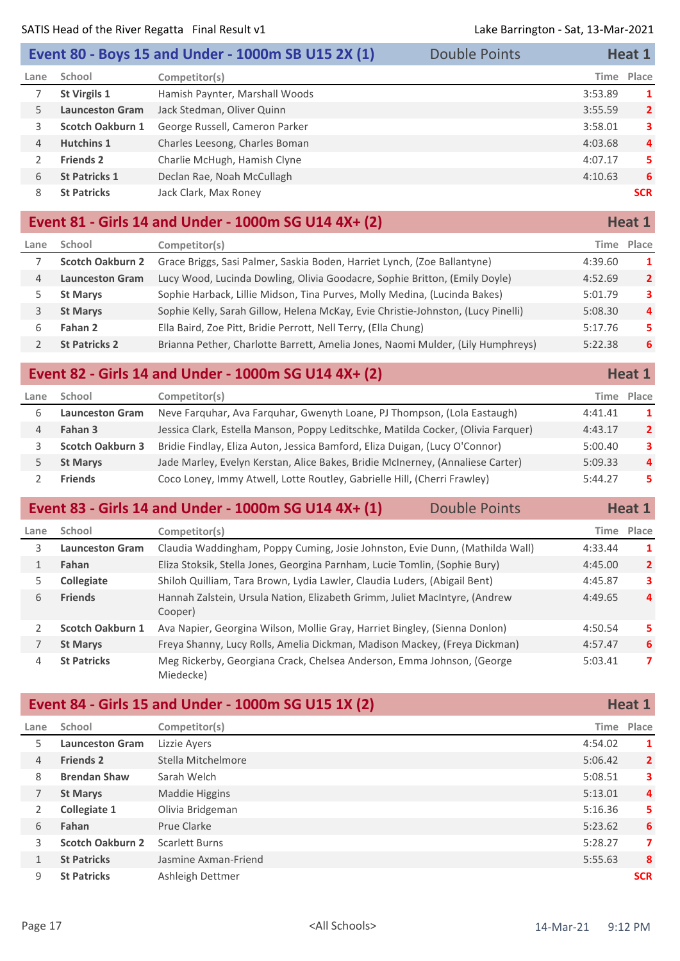|      |                        | Event 80 - Boys 15 and Under - 1000m SB U15 2X (1) | <b>Double Points</b> |             | Heat 1         |
|------|------------------------|----------------------------------------------------|----------------------|-------------|----------------|
| Lane | School                 | Competitor(s)                                      |                      | <b>Time</b> | Place          |
|      | <b>St Virgils 1</b>    | Hamish Paynter, Marshall Woods                     |                      | 3:53.89     | 1              |
| 5.   | <b>Launceston Gram</b> | Jack Stedman, Oliver Quinn                         |                      | 3:55.59     | $\overline{2}$ |
| 3.   | Scotch Oakburn 1       | George Russell, Cameron Parker                     |                      | 3:58.01     | 3              |
| 4    | <b>Hutchins 1</b>      | Charles Leesong, Charles Boman                     |                      | 4:03.68     | 4              |
|      | <b>Friends 2</b>       | Charlie McHugh, Hamish Clyne                       |                      | 4:07.17     | 5              |
| 6    | <b>St Patricks 1</b>   | Declan Rae, Noah McCullagh                         |                      | 4:10.63     | 6              |
| 8    | <b>St Patricks</b>     | Jack Clark, Max Roney                              |                      |             | <b>SCR</b>     |
|      |                        |                                                    |                      |             |                |

#### **Event 81 - Girls 14 and Under - 1000m SG U14 4X+ (2) Heat 1 Heat 1**

| Lane | School                  | Competitor(s)                                                                    | Time    | Place          |
|------|-------------------------|----------------------------------------------------------------------------------|---------|----------------|
|      | <b>Scotch Oakburn 2</b> | Grace Briggs, Sasi Palmer, Saskia Boden, Harriet Lynch, (Zoe Ballantyne)         | 4:39.60 | 1              |
| 4    | <b>Launceston Gram</b>  | Lucy Wood, Lucinda Dowling, Olivia Goodacre, Sophie Britton, (Emily Doyle)       | 4:52.69 | $\overline{2}$ |
|      | <b>St Marys</b>         | Sophie Harback, Lillie Midson, Tina Purves, Molly Medina, (Lucinda Bakes)        | 5:01.79 | 3              |
|      | <b>St Marys</b>         | Sophie Kelly, Sarah Gillow, Helena McKay, Evie Christie-Johnston, (Lucy Pinelli) | 5:08.30 | 4              |
| h    | Fahan 2                 | Ella Baird, Zoe Pitt, Bridie Perrott, Nell Terry, (Ella Chung)                   | 5:17.76 | 5.             |
|      | <b>St Patricks 2</b>    | Brianna Pether, Charlotte Barrett, Amelia Jones, Naomi Mulder, (Lily Humphreys)  | 5:22.38 | 6              |
|      |                         |                                                                                  |         |                |

#### **Event 82 - Girls 14 and Under - 1000m SG U14 4X+ (2) Heat 1 Heat 1**

| Lane | School                  | Competitor(s)                                                                     |         | Time Place     |
|------|-------------------------|-----------------------------------------------------------------------------------|---------|----------------|
|      | <b>Launceston Gram</b>  | Neve Farquhar, Ava Farquhar, Gwenyth Loane, PJ Thompson, (Lola Eastaugh)          | 4:41.41 | 1              |
|      | Fahan 3                 | Jessica Clark, Estella Manson, Poppy Leditschke, Matilda Cocker, (Olivia Farquer) | 4:43.17 | $\overline{2}$ |
|      | <b>Scotch Oakburn 3</b> | Bridie Findlay, Eliza Auton, Jessica Bamford, Eliza Duigan, (Lucy O'Connor)       | 5:00.40 | 3              |
|      | <b>St Marys</b>         | Jade Marley, Evelyn Kerstan, Alice Bakes, Bridie McInerney, (Annaliese Carter)    | 5:09.33 | $\overline{a}$ |
|      | <b>Friends</b>          | Coco Loney, Immy Atwell, Lotte Routley, Gabrielle Hill, (Cherri Frawley)          | 5:44.27 | 5.             |

### **Event 83 - Girls 14 and Under - 1000m SG U14 4X+ (1)** Double Points **Heat 1**

| Lane | School                  | Competitor(s)                                                                         | Time    | Place          |
|------|-------------------------|---------------------------------------------------------------------------------------|---------|----------------|
| 3.   | <b>Launceston Gram</b>  | Claudia Waddingham, Poppy Cuming, Josie Johnston, Evie Dunn, (Mathilda Wall)          | 4:33.44 | 1              |
|      | Fahan                   | Eliza Stoksik, Stella Jones, Georgina Parnham, Lucie Tomlin, (Sophie Bury)            | 4:45.00 | $\overline{2}$ |
| 5.   | Collegiate              | Shiloh Quilliam, Tara Brown, Lydia Lawler, Claudia Luders, (Abigail Bent)             | 4:45.87 | 3              |
| 6    | <b>Friends</b>          | Hannah Zalstein, Ursula Nation, Elizabeth Grimm, Juliet MacIntyre, (Andrew<br>Cooper) | 4:49.65 | $\overline{4}$ |
|      | <b>Scotch Oakburn 1</b> | Ava Napier, Georgina Wilson, Mollie Gray, Harriet Bingley, (Sienna Donlon)            | 4:50.54 | 5              |
|      | <b>St Marys</b>         | Freya Shanny, Lucy Rolls, Amelia Dickman, Madison Mackey, (Freya Dickman)             | 4:57.47 | 6              |
| 4    | <b>St Patricks</b>      | Meg Rickerby, Georgiana Crack, Chelsea Anderson, Emma Johnson, (George<br>Miedecke)   | 5:03.41 | 7              |

#### **Event 84 - Girls 15 and Under - 1000m SG U15 1X (2) Heat 1 Heat 1**

| Lane           | School                  | Competitor(s)         | Time    | Place          |
|----------------|-------------------------|-----------------------|---------|----------------|
| 5              | <b>Launceston Gram</b>  | Lizzie Ayers          | 4:54.02 | 1              |
| 4              | <b>Friends 2</b>        | Stella Mitchelmore    | 5:06.42 | $\overline{2}$ |
| 8              | <b>Brendan Shaw</b>     | Sarah Welch           | 5:08.51 | 3              |
|                | <b>St Marys</b>         | Maddie Higgins        | 5:13.01 | 4              |
| $\overline{2}$ | Collegiate 1            | Olivia Bridgeman      | 5:16.36 | 5              |
| 6              | Fahan                   | Prue Clarke           | 5:23.62 | 6              |
| 3              | <b>Scotch Oakburn 2</b> | <b>Scarlett Burns</b> | 5:28.27 | 7              |
| $\mathbf{1}$   | <b>St Patricks</b>      | Jasmine Axman-Friend  | 5:55.63 | 8              |
| 9              | <b>St Patricks</b>      | Ashleigh Dettmer      |         | <b>SCR</b>     |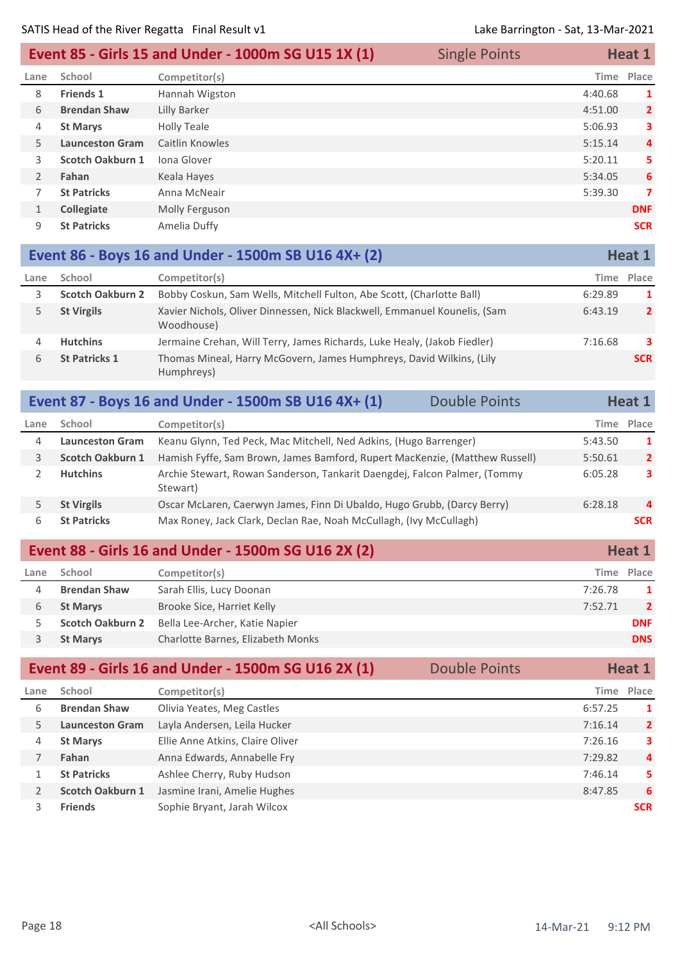|               |                         | Event 85 - Girls 15 and Under - 1000m SG U15 1X (1) | <b>Single Points</b> | Heat 1  |                |
|---------------|-------------------------|-----------------------------------------------------|----------------------|---------|----------------|
| Lane          | School                  | Competitor(s)                                       |                      | Time    | Place          |
| 8             | <b>Friends 1</b>        | Hannah Wigston                                      |                      | 4:40.68 | 1              |
| 6             | <b>Brendan Shaw</b>     | Lilly Barker                                        |                      | 4:51.00 | $\overline{2}$ |
| 4             | <b>St Marys</b>         | <b>Holly Teale</b>                                  |                      | 5:06.93 | 3              |
| 5.            | <b>Launceston Gram</b>  | Caitlin Knowles                                     |                      | 5:15.14 | $\overline{4}$ |
| 3.            | <b>Scotch Oakburn 1</b> | Iona Glover                                         |                      | 5:20.11 | 5              |
| $\mathcal{P}$ | Fahan                   | Keala Hayes                                         |                      | 5:34.05 | 6              |
|               | <b>St Patricks</b>      | Anna McNeair                                        |                      | 5:39.30 | 7              |
| $\mathbf{1}$  | <b>Collegiate</b>       | Molly Ferguson                                      |                      |         | <b>DNF</b>     |
| 9             | <b>St Patricks</b>      | Amelia Duffy                                        |                      |         | <b>SCR</b>     |

|      |                         | Event 86 - Boys 16 and Under - 1500m SB U16 4X+ (2)                                     |         | Heat 1         |
|------|-------------------------|-----------------------------------------------------------------------------------------|---------|----------------|
| Lane | School                  | Competitor(s)                                                                           |         | Time Place     |
|      | <b>Scotch Oakburn 2</b> | Bobby Coskun, Sam Wells, Mitchell Fulton, Abe Scott, (Charlotte Ball)                   | 6:29.89 | -1             |
|      | <b>St Virgils</b>       | Xavier Nichols, Oliver Dinnessen, Nick Blackwell, Emmanuel Kounelis, (Sam<br>Woodhouse) | 6:43.19 | $\overline{2}$ |
| 4    | <b>Hutchins</b>         | Jermaine Crehan, Will Terry, James Richards, Luke Healy, (Jakob Fiedler)                | 7:16.68 | 3              |
| 6    | <b>St Patricks 1</b>    | Thomas Mineal, Harry McGovern, James Humphreys, David Wilkins, (Lily<br>Humphreys)      |         | <b>SCR</b>     |

|      |                         | Event 87 - Boys 16 and Under - 1500m SB U16 4X+ (1)                                   | <b>Double Points</b> |         | Heat 1         |
|------|-------------------------|---------------------------------------------------------------------------------------|----------------------|---------|----------------|
| Lane | School                  | Competitor(s)                                                                         |                      |         | Time Place     |
| 4    | <b>Launceston Gram</b>  | Keanu Glynn, Ted Peck, Mac Mitchell, Ned Adkins, (Hugo Barrenger)                     |                      | 5:43.50 | $\mathbf{1}$   |
| 3    | <b>Scotch Oakburn 1</b> | Hamish Fyffe, Sam Brown, James Bamford, Rupert MacKenzie, (Matthew Russell)           |                      | 5:50.61 | $\mathbf{2}$   |
|      | <b>Hutchins</b>         | Archie Stewart, Rowan Sanderson, Tankarit Daengdej, Falcon Palmer, (Tommy<br>Stewart) |                      | 6:05.28 | 3              |
|      | <b>St Virgils</b>       | Oscar McLaren, Caerwyn James, Finn Di Ubaldo, Hugo Grubb, (Darcy Berry)               |                      | 6:28.18 | $\overline{a}$ |
| 6    | <b>St Patricks</b>      | Max Roney, Jack Clark, Declan Rae, Noah McCullagh, (Ivy McCullagh)                    |                      |         | <b>SCR</b>     |

| Event 88 - Girls 16 and Under - 1500m SG U16 2X (2) |                         |                                   | Heat 1  |                         |
|-----------------------------------------------------|-------------------------|-----------------------------------|---------|-------------------------|
| Lane                                                | School                  | Competitor(s)                     |         | Time Place              |
|                                                     | <b>Brendan Shaw</b>     | Sarah Ellis, Lucy Doonan          | 7:26.78 | $\mathbf 1$             |
| 6                                                   | <b>St Marys</b>         | Brooke Sice, Harriet Kelly        | 7:52.71 | $\overline{\mathbf{2}}$ |
|                                                     | <b>Scotch Oakburn 2</b> | Bella Lee-Archer, Katie Napier    |         | <b>DNF</b>              |
|                                                     | <b>St Marys</b>         | Charlotte Barnes, Elizabeth Monks |         | <b>DNS</b>              |

| Event 89 - Girls 16 and Under - 1500m SG U16 2X (1)<br><b>Double Points</b> |                                  |  |         | <b>Heat 1</b>  |
|-----------------------------------------------------------------------------|----------------------------------|--|---------|----------------|
| School                                                                      | Competitor(s)                    |  |         | Time Place     |
| <b>Brendan Shaw</b>                                                         | Olivia Yeates, Meg Castles       |  | 6:57.25 | 1              |
| <b>Launceston Gram</b>                                                      | Layla Andersen, Leila Hucker     |  | 7:16.14 | $\overline{2}$ |
| <b>St Marys</b>                                                             | Ellie Anne Atkins, Claire Oliver |  | 7:26.16 | 3              |
| Fahan                                                                       | Anna Edwards, Annabelle Fry      |  | 7:29.82 | 4              |
| <b>St Patricks</b>                                                          | Ashlee Cherry, Ruby Hudson       |  | 7:46.14 | 5              |
| Scotch Oakburn 1                                                            | Jasmine Irani, Amelie Hughes     |  | 8:47.85 | 6              |
| <b>Friends</b>                                                              | Sophie Bryant, Jarah Wilcox      |  |         | <b>SCR</b>     |
|                                                                             |                                  |  |         |                |